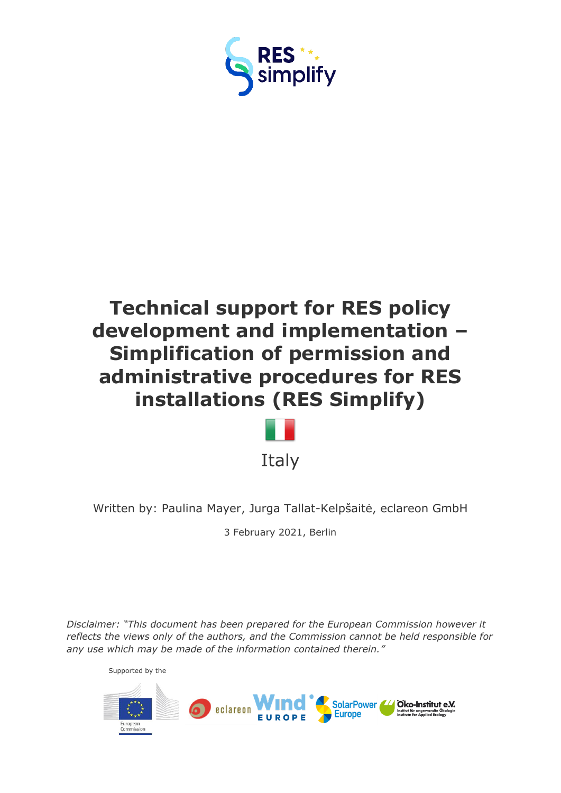



Written by: Paulina Mayer, Jurga Tallat-Kelpšaitė, eclareon GmbH

3 February 2021, Berlin

*Disclaimer: "This document has been prepared for the European Commission however it reflects the views only of the authors, and the Commission cannot be held responsible for any use which may be made of the information contained therein."*

Supported by the

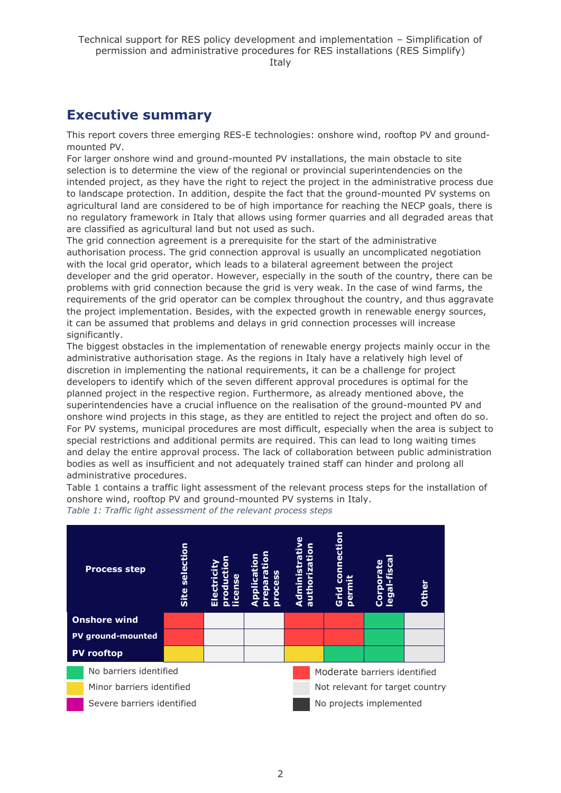### <span id="page-1-0"></span>**Executive summary**

This report covers three emerging RES-E technologies: onshore wind, rooftop PV and groundmounted PV.

For larger onshore wind and ground-mounted PV installations, the main obstacle to site selection is to determine the view of the regional or provincial superintendencies on the intended project, as they have the right to reject the project in the administrative process due to landscape protection. In addition, despite the fact that the ground-mounted PV systems on agricultural land are considered to be of high importance for reaching the NECP goals, there is no regulatory framework in Italy that allows using former quarries and all degraded areas that are classified as agricultural land but not used as such.

The grid connection agreement is a prerequisite for the start of the administrative authorisation process. The grid connection approval is usually an uncomplicated negotiation with the local grid operator, which leads to a bilateral agreement between the project developer and the grid operator. However, especially in the south of the country, there can be problems with grid connection because the grid is very weak. In the case of wind farms, the requirements of the grid operator can be complex throughout the country, and thus aggravate the project implementation. Besides, with the expected growth in renewable energy sources, it can be assumed that problems and delays in grid connection processes will increase significantly.

The biggest obstacles in the implementation of renewable energy projects mainly occur in the administrative authorisation stage. As the regions in Italy have a relatively high level of discretion in implementing the national requirements, it can be a challenge for project developers to identify which of the seven different approval procedures is optimal for the planned project in the respective region. Furthermore, as already mentioned above, the superintendencies have a crucial influence on the realisation of the ground-mounted PV and onshore wind projects in this stage, as they are entitled to reject the project and often do so. For PV systems, municipal procedures are most difficult, especially when the area is subject to special restrictions and additional permits are required. This can lead to long waiting times and delay the entire approval process. The lack of collaboration between public administration bodies as well as insufficient and not adequately trained staff can hinder and prolong all administrative procedures.

Table 1 contains a traffic light assessment of the relevant process steps for the installation of onshore wind, rooftop PV and ground-mounted PV systems in Italy.



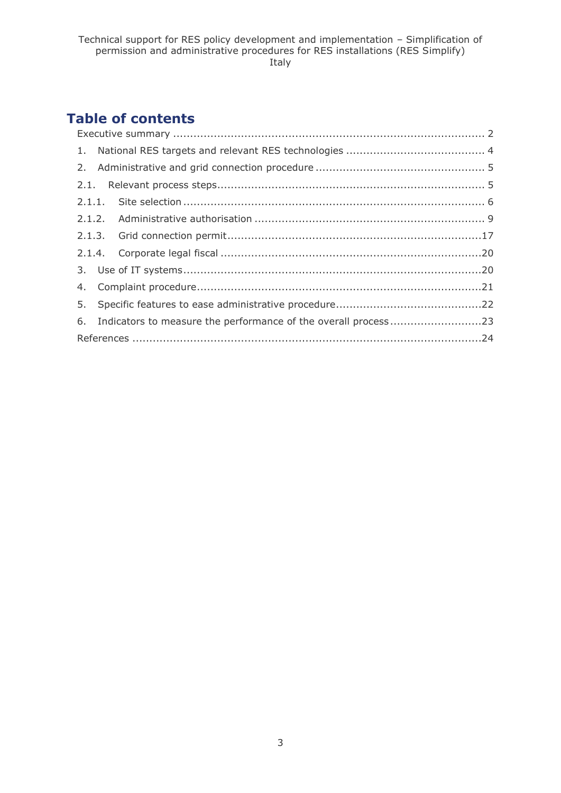## **Table of contents**

| 6. Indicators to measure the performance of the overall process23 |  |  |  |
|-------------------------------------------------------------------|--|--|--|
|                                                                   |  |  |  |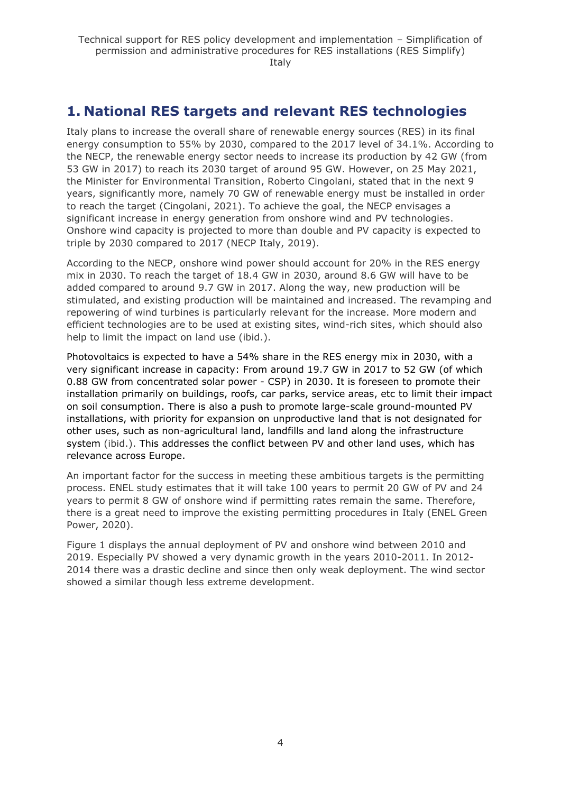## <span id="page-3-0"></span>**1. National RES targets and relevant RES technologies**

Italy plans to increase the overall share of renewable energy sources (RES) in its final energy consumption to 55% by 2030, compared to the 2017 level of 34.1%. According to the NECP, the renewable energy sector needs to increase its production by 42 GW (from 53 GW in 2017) to reach its 2030 target of around 95 GW. However, on 25 May 2021, the Minister for Environmental Transition, Roberto Cingolani, stated that in the next 9 years, significantly more, namely 70 GW of renewable energy must be installed in order to reach the target (Cingolani, 2021). To achieve the goal, the NECP envisages a significant increase in energy generation from onshore wind and PV technologies. Onshore wind capacity is projected to more than double and PV capacity is expected to triple by 2030 compared to 2017 (NECP Italy, 2019).

According to the NECP, onshore wind power should account for 20% in the RES energy mix in 2030. To reach the target of 18.4 GW in 2030, around 8.6 GW will have to be added compared to around 9.7 GW in 2017. Along the way, new production will be stimulated, and existing production will be maintained and increased. The revamping and repowering of wind turbines is particularly relevant for the increase. More modern and efficient technologies are to be used at existing sites, wind-rich sites, which should also help to limit the impact on land use (ibid.).

Photovoltaics is expected to have a 54% share in the RES energy mix in 2030, with a very significant increase in capacity: From around 19.7 GW in 2017 to 52 GW (of which 0.88 GW from concentrated solar power - CSP) in 2030. It is foreseen to promote their installation primarily on buildings, roofs, car parks, service areas, etc to limit their impact on soil consumption. There is also a push to promote large-scale ground-mounted PV installations, with priority for expansion on unproductive land that is not designated for other uses, such as non-agricultural land, landfills and land along the infrastructure system (ibid.). This addresses the conflict between PV and other land uses, which has relevance across Europe.

An important factor for the success in meeting these ambitious targets is the permitting process. ENEL study estimates that it will take 100 years to permit 20 GW of PV and 24 years to permit 8 GW of onshore wind if permitting rates remain the same. Therefore, there is a great need to improve the existing permitting procedures in Italy (ENEL Green Power, 2020).

Figure 1 displays the annual deployment of PV and onshore wind between 2010 and 2019. Especially PV showed a very dynamic growth in the years 2010-2011. In 2012- 2014 there was a drastic decline and since then only weak deployment. The wind sector showed a similar though less extreme development.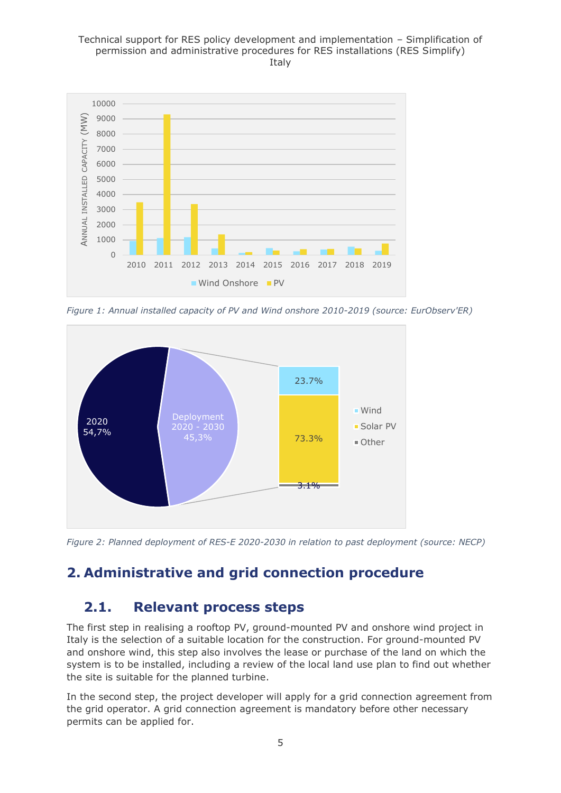

*Figure 1: Annual installed capacity of PV and Wind onshore 2010-2019 (source: EurObserv'ER)*



*Figure 2: Planned deployment of RES-E 2020-2030 in relation to past deployment (source: NECP)*

## <span id="page-4-0"></span>**2. Administrative and grid connection procedure**

## <span id="page-4-1"></span>**2.1. Relevant process steps**

The first step in realising a rooftop PV, ground-mounted PV and onshore wind project in Italy is the selection of a suitable location for the construction. For ground-mounted PV and onshore wind, this step also involves the lease or purchase of the land on which the system is to be installed, including a review of the local land use plan to find out whether the site is suitable for the planned turbine.

In the second step, the project developer will apply for a grid connection agreement from the grid operator. A grid connection agreement is mandatory before other necessary permits can be applied for.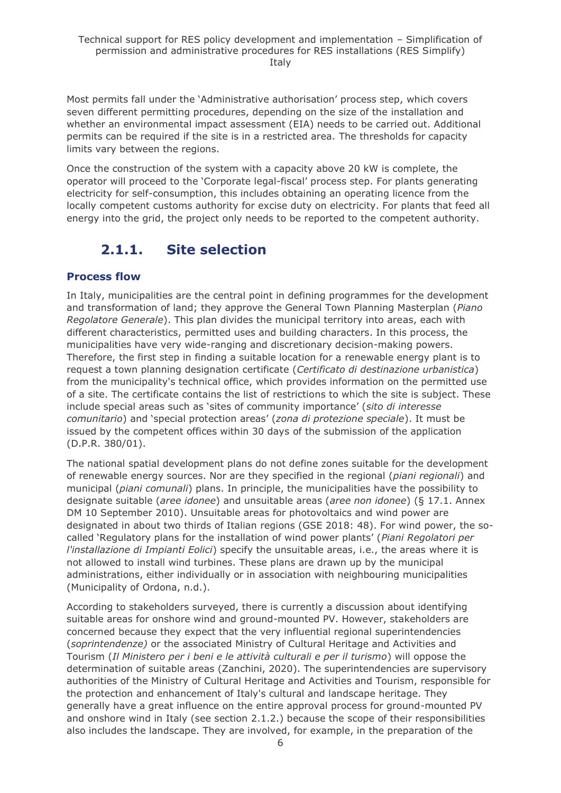Most permits fall under the 'Administrative authorisation' process step, which covers seven different permitting procedures, depending on the size of the installation and whether an environmental impact assessment (EIA) needs to be carried out. Additional permits can be required if the site is in a restricted area. The thresholds for capacity limits vary between the regions.

Once the construction of the system with a capacity above 20 kW is complete, the operator will proceed to the 'Corporate legal-fiscal' process step. For plants generating electricity for self-consumption, this includes obtaining an operating licence from the locally competent customs authority for excise duty on electricity. For plants that feed all energy into the grid, the project only needs to be reported to the competent authority.

## **2.1.1. Site selection**

#### <span id="page-5-0"></span>**Process flow**

In Italy, municipalities are the central point in defining programmes for the development and transformation of land; they approve the General Town Planning Masterplan (*Piano Regolatore Generale*). This plan divides the municipal territory into areas, each with different characteristics, permitted uses and building characters. In this process, the municipalities have very wide-ranging and discretionary decision-making powers. Therefore, the first step in finding a suitable location for a renewable energy plant is to request a town planning designation certificate (*Certificato di destinazione urbanistica*) from the municipality's technical office, which provides information on the permitted use of a site. The certificate contains the list of restrictions to which the site is subject. These include special areas such as 'sites of community importance' (*sito di interesse comunitario*) and 'special protection areas' (*zona di protezione speciale*). It must be issued by the competent offices within 30 days of the submission of the application (D.P.R. 380/01).

The national spatial development plans do not define zones suitable for the development of renewable energy sources. Nor are they specified in the regional (*piani regionali*) and municipal (*piani comunali*) plans. In principle, the municipalities have the possibility to designate suitable (*aree idonee*) and unsuitable areas (*aree non idonee*) (§ 17.1. Annex DM 10 September 2010). Unsuitable areas for photovoltaics and wind power are designated in about two thirds of Italian regions (GSE 2018: 48). For wind power, the socalled 'Regulatory plans for the installation of wind power plants' (*Piani Regolatori per l'installazione di Impianti Eolici*) specify the unsuitable areas, i.e., the areas where it is not allowed to install wind turbines. These plans are drawn up by the municipal administrations, either individually or in association with neighbouring municipalities (Municipality of Ordona, n.d.).

According to stakeholders surveyed, there is currently a discussion about identifying suitable areas for onshore wind and ground-mounted PV. However, stakeholders are concerned because they expect that the very influential regional superintendencies (*soprintendenze)* or the associated Ministry of Cultural Heritage and Activities and Tourism (*Il Ministero per i beni e le attività culturali e per il turismo*) will oppose the determination of suitable areas (Zanchini, 2020). The superintendencies are supervisory authorities of the Ministry of Cultural Heritage and Activities and Tourism, responsible for the protection and enhancement of Italy's cultural and landscape heritage. They generally have a great influence on the entire approval process for ground-mounted PV and onshore wind in Italy (see section 2.1.2.) because the scope of their responsibilities also includes the landscape. They are involved, for example, in the preparation of the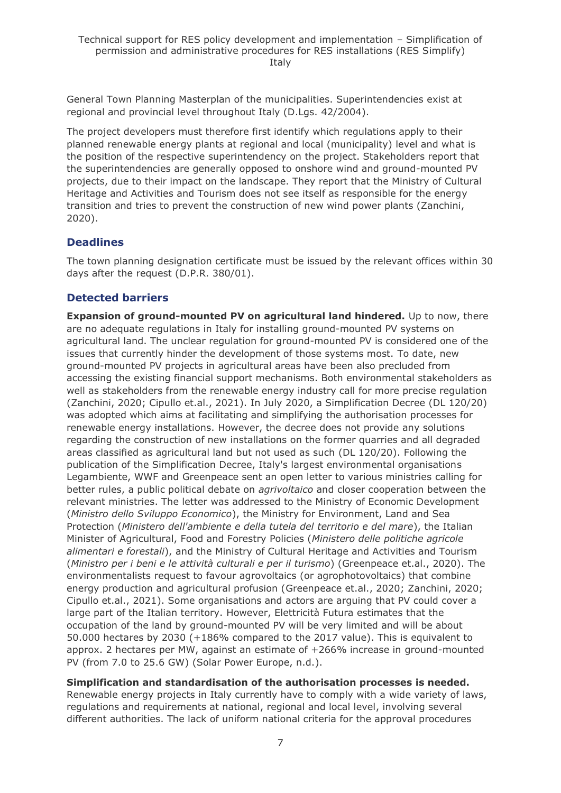General Town Planning Masterplan of the municipalities. Superintendencies exist at regional and provincial level throughout Italy (D.Lgs. 42/2004).

The project developers must therefore first identify which regulations apply to their planned renewable energy plants at regional and local (municipality) level and what is the position of the respective superintendency on the project. Stakeholders report that the superintendencies are generally opposed to onshore wind and ground-mounted PV projects, due to their impact on the landscape. They report that the Ministry of Cultural Heritage and Activities and Tourism does not see itself as responsible for the energy transition and tries to prevent the construction of new wind power plants (Zanchini, 2020).

#### **Deadlines**

The town planning designation certificate must be issued by the relevant offices within 30 days after the request (D.P.R. 380/01).

#### **Detected barriers**

**Expansion of ground-mounted PV on agricultural land hindered.** Up to now, there are no adequate regulations in Italy for installing ground-mounted PV systems on agricultural land. The unclear regulation for ground-mounted PV is considered one of the issues that currently hinder the development of those systems most. To date, new ground-mounted PV projects in agricultural areas have been also precluded from accessing the existing financial support mechanisms. Both environmental stakeholders as well as stakeholders from the renewable energy industry call for more precise regulation (Zanchini, 2020; Cipullo et.al., 2021). In July 2020, a Simplification Decree (DL 120/20) was adopted which aims at facilitating and simplifying the authorisation processes for renewable energy installations. However, the decree does not provide any solutions regarding the construction of new installations on the former quarries and all degraded areas classified as agricultural land but not used as such (DL 120/20). Following the publication of the Simplification Decree, Italy's largest environmental organisations Legambiente, WWF and Greenpeace sent an open letter to various ministries calling for better rules, a public political debate on *agrivoltaico* and closer cooperation between the relevant ministries. The letter was addressed to the Ministry of Economic Development (*Ministro dello Sviluppo Economico*), the Ministry for Environment, Land and Sea Protection (*Ministero dell'ambiente e della tutela del territorio e del mare*), the Italian Minister of Agricultural, Food and Forestry Policies (*Ministero delle politiche agricole alimentari e forestali*), and the Ministry of Cultural Heritage and Activities and Tourism (*Ministro per i beni e le attività culturali e per il turismo*) (Greenpeace et.al., 2020). The environmentalists request to favour agrovoltaics (or agrophotovoltaics) that combine energy production and agricultural profusion (Greenpeace et.al., 2020; Zanchini, 2020; Cipullo et.al., 2021). Some organisations and actors are arguing that PV could cover a large part of the Italian territory. However, Elettricità Futura estimates that the occupation of the land by ground-mounted PV will be very limited and will be about 50.000 hectares by 2030 (+186% compared to the 2017 value). This is equivalent to approx. 2 hectares per MW, against an estimate of +266% increase in ground-mounted PV (from 7.0 to 25.6 GW) (Solar Power Europe, n.d.).

**Simplification and standardisation of the authorisation processes is needed.** 

Renewable energy projects in Italy currently have to comply with a wide variety of laws, regulations and requirements at national, regional and local level, involving several different authorities. The lack of uniform national criteria for the approval procedures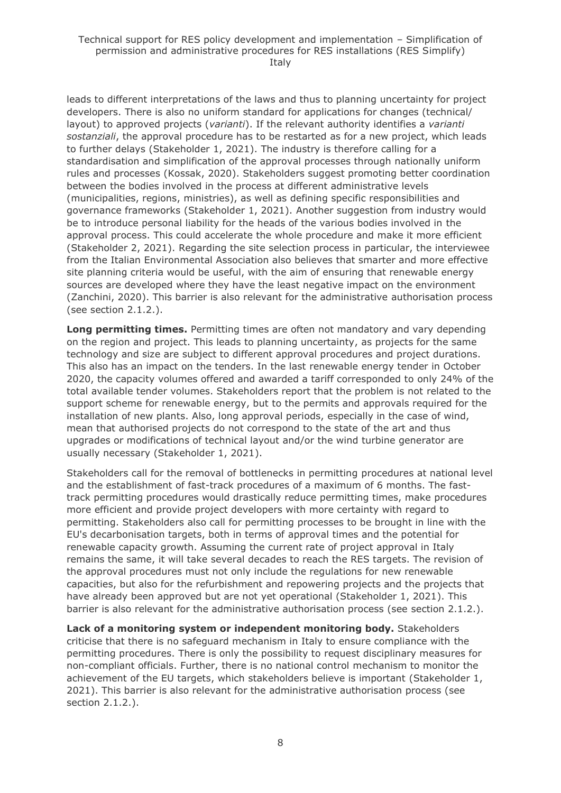leads to different interpretations of the laws and thus to planning uncertainty for project developers. There is also no uniform standard for applications for changes (technical/ layout) to approved projects (*varianti*). If the relevant authority identifies a *varianti sostanziali*, the approval procedure has to be restarted as for a new project, which leads to further delays (Stakeholder 1, 2021). The industry is therefore calling for a standardisation and simplification of the approval processes through nationally uniform rules and processes (Kossak, 2020). Stakeholders suggest promoting better coordination between the bodies involved in the process at different administrative levels (municipalities, regions, ministries), as well as defining specific responsibilities and governance frameworks (Stakeholder 1, 2021). Another suggestion from industry would be to introduce personal liability for the heads of the various bodies involved in the approval process. This could accelerate the whole procedure and make it more efficient (Stakeholder 2, 2021). Regarding the site selection process in particular, the interviewee from the Italian Environmental Association also believes that smarter and more effective site planning criteria would be useful, with the aim of ensuring that renewable energy sources are developed where they have the least negative impact on the environment (Zanchini, 2020). This barrier is also relevant for the administrative authorisation process (see section 2.1.2.).

**Long permitting times.** Permitting times are often not mandatory and vary depending on the region and project. This leads to planning uncertainty, as projects for the same technology and size are subject to different approval procedures and project durations. This also has an impact on the tenders. In the last renewable energy tender in October 2020, the capacity volumes offered and awarded a tariff corresponded to only 24% of the total available tender volumes. Stakeholders report that the problem is not related to the support scheme for renewable energy, but to the permits and approvals required for the installation of new plants. Also, long approval periods, especially in the case of wind, mean that authorised projects do not correspond to the state of the art and thus upgrades or modifications of technical layout and/or the wind turbine generator are usually necessary (Stakeholder 1, 2021).

Stakeholders call for the removal of bottlenecks in permitting procedures at national level and the establishment of fast-track procedures of a maximum of 6 months. The fasttrack permitting procedures would drastically reduce permitting times, make procedures more efficient and provide project developers with more certainty with regard to permitting. Stakeholders also call for permitting processes to be brought in line with the EU's decarbonisation targets, both in terms of approval times and the potential for renewable capacity growth. Assuming the current rate of project approval in Italy remains the same, it will take several decades to reach the RES targets. The revision of the approval procedures must not only include the regulations for new renewable capacities, but also for the refurbishment and repowering projects and the projects that have already been approved but are not yet operational (Stakeholder 1, 2021). This barrier is also relevant for the administrative authorisation process (see section 2.1.2.).

**Lack of a monitoring system or independent monitoring body.** Stakeholders criticise that there is no safeguard mechanism in Italy to ensure compliance with the permitting procedures. There is only the possibility to request disciplinary measures for non-compliant officials. Further, there is no national control mechanism to monitor the achievement of the EU targets, which stakeholders believe is important (Stakeholder 1, 2021). This barrier is also relevant for the administrative authorisation process (see section 2.1.2.).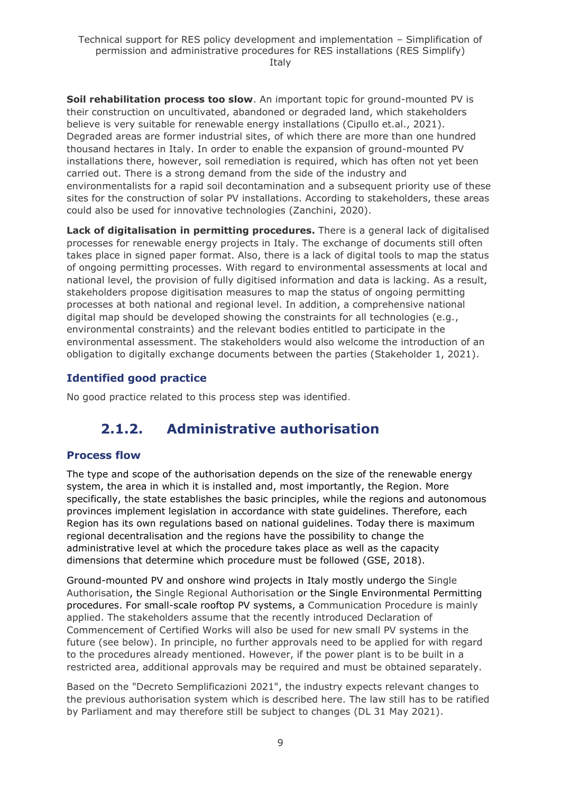**Soil rehabilitation process too slow**. An important topic for ground-mounted PV is their construction on uncultivated, abandoned or degraded land, which stakeholders believe is very suitable for renewable energy installations (Cipullo et.al., 2021). Degraded areas are former industrial sites, of which there are more than one hundred thousand hectares in Italy. In order to enable the expansion of ground-mounted PV installations there, however, soil remediation is required, which has often not yet been carried out. There is a strong demand from the side of the industry and environmentalists for a rapid soil decontamination and a subsequent priority use of these sites for the construction of solar PV installations. According to stakeholders, these areas could also be used for innovative technologies (Zanchini, 2020).

**Lack of digitalisation in permitting procedures.** There is a general lack of digitalised processes for renewable energy projects in Italy. The exchange of documents still often takes place in signed paper format. Also, there is a lack of digital tools to map the status of ongoing permitting processes. With regard to environmental assessments at local and national level, the provision of fully digitised information and data is lacking. As a result, stakeholders propose digitisation measures to map the status of ongoing permitting processes at both national and regional level. In addition, a comprehensive national digital map should be developed showing the constraints for all technologies (e.g., environmental constraints) and the relevant bodies entitled to participate in the environmental assessment. The stakeholders would also welcome the introduction of an obligation to digitally exchange documents between the parties (Stakeholder 1, 2021).

### **Identified good practice**

<span id="page-8-0"></span>No good practice related to this process step was identified.

## **2.1.2. Administrative authorisation**

### **Process flow**

The type and scope of the authorisation depends on the size of the renewable energy system, the area in which it is installed and, most importantly, the Region. More specifically, the state establishes the basic principles, while the regions and autonomous provinces implement legislation in accordance with state guidelines. Therefore, each Region has its own regulations based on national guidelines. Today there is maximum regional decentralisation and the regions have the possibility to change the administrative level at which the procedure takes place as well as the capacity dimensions that determine which procedure must be followed (GSE, 2018).

Ground-mounted PV and onshore wind projects in Italy mostly undergo the Single Authorisation, the Single Regional Authorisation or the Single Environmental Permitting procedures. For small-scale rooftop PV systems, a Communication Procedure is mainly applied. The stakeholders assume that the recently introduced Declaration of Commencement of Certified Works will also be used for new small PV systems in the future (see below). In principle, no further approvals need to be applied for with regard to the procedures already mentioned. However, if the power plant is to be built in a restricted area, additional approvals may be required and must be obtained separately.

Based on the "Decreto Semplificazioni 2021", the industry expects relevant changes to the previous authorisation system which is described here. The law still has to be ratified by Parliament and may therefore still be subject to changes (DL 31 May 2021).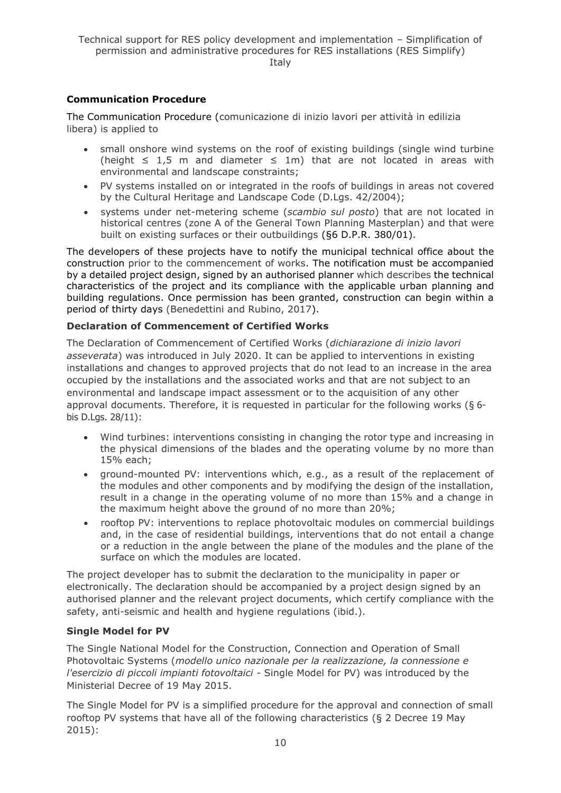#### **Communication Procedure**

The Communication Procedure (comunicazione di inizio lavori per attività in edilizia libera) is applied to

- small onshore wind systems on the roof of existing buildings (single wind turbine (height ≤ 1,5 m and diameter ≤ 1m) that are not located in areas with environmental and landscape constraints;
- PV systems installed on or integrated in the roofs of buildings in areas not covered by the Cultural Heritage and Landscape Code (D.Lgs. 42/2004);
- systems under net-metering scheme (*scambio sul posto*) that are not located in historical centres (zone A of the General Town Planning Masterplan) and that were built on existing surfaces or their outbuildings (§6 D.P.R. 380/01).

The developers of these projects have to notify the municipal technical office about the construction prior to the commencement of works. The notification must be accompanied by a detailed project design, signed by an authorised planner which describes the technical characteristics of the project and its compliance with the applicable urban planning and building regulations. Once permission has been granted, construction can begin within a period of thirty days (Benedettini and Rubino, 2017).

#### **Declaration of Commencement of Certified Works**

The Declaration of Commencement of Certified Works (*dichiarazione di inizio lavori asseverata*) was introduced in July 2020. It can be applied to interventions in existing installations and changes to approved projects that do not lead to an increase in the area occupied by the installations and the associated works and that are not subject to an environmental and landscape impact assessment or to the acquisition of any other approval documents. Therefore, it is requested in particular for the following works (§ 6 bis D.Lgs. 28/11):

- Wind turbines: interventions consisting in changing the rotor type and increasing in the physical dimensions of the blades and the operating volume by no more than 15% each;
- ground-mounted PV: interventions which, e.g., as a result of the replacement of the modules and other components and by modifying the design of the installation, result in a change in the operating volume of no more than 15% and a change in the maximum height above the ground of no more than 20%;
- rooftop PV: interventions to replace photovoltaic modules on commercial buildings and, in the case of residential buildings, interventions that do not entail a change or a reduction in the angle between the plane of the modules and the plane of the surface on which the modules are located.

The project developer has to submit the declaration to the municipality in paper or electronically. The declaration should be accompanied by a project design signed by an authorised planner and the relevant project documents, which certify compliance with the safety, anti-seismic and health and hygiene regulations (ibid.).

#### **Single Model for PV**

The Single National Model for the Construction, Connection and Operation of Small Photovoltaic Systems (*modello unico nazionale per la realizzazione, la connessione e l'esercizio di piccoli impianti fotovoltaici* - Single Model for PV) was introduced by the Ministerial Decree of 19 May 2015.

The Single Model for PV is a simplified procedure for the approval and connection of small rooftop PV systems that have all of the following characteristics (§ 2 Decree 19 May 2015):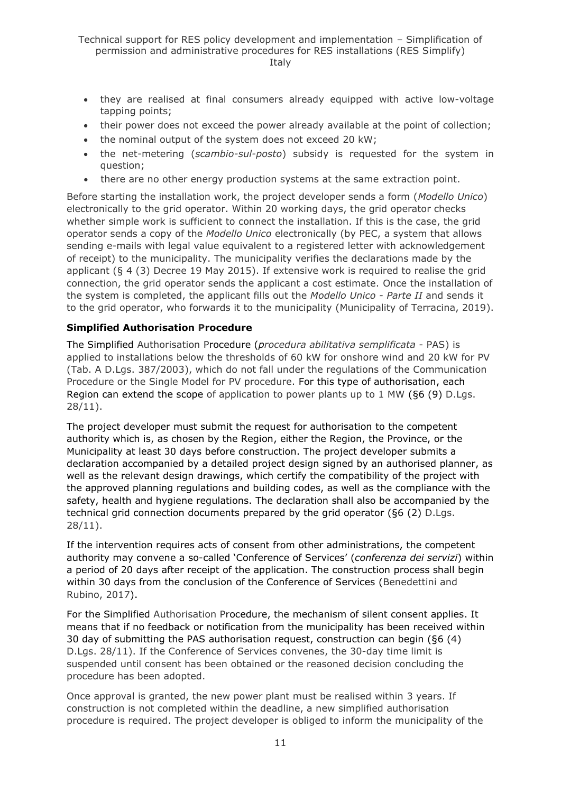- they are realised at final consumers already equipped with active low-voltage tapping points;
- their power does not exceed the power already available at the point of collection;
- the nominal output of the system does not exceed 20 kW;
- the net-metering (*scambio-sul-posto*) subsidy is requested for the system in question;
- there are no other energy production systems at the same extraction point.

Before starting the installation work, the project developer sends a form (*Modello Unico*) electronically to the grid operator. Within 20 working days, the grid operator checks whether simple work is sufficient to connect the installation. If this is the case, the grid operator sends a copy of the *Modello Unico* electronically (by PEC, a system that allows sending e-mails with legal value equivalent to a registered letter with acknowledgement of receipt) to the municipality. The municipality verifies the declarations made by the applicant (§ 4 (3) Decree 19 May 2015). If extensive work is required to realise the grid connection, the grid operator sends the applicant a cost estimate. Once the installation of the system is completed, the applicant fills out the *Modello Unico - Parte II* and sends it to the grid operator, who forwards it to the municipality (Municipality of Terracina, 2019).

#### **Simplified Authorisation Procedure**

The Simplified Authorisation Procedure (*procedura abilitativa semplificata* - PAS) is applied to installations below the thresholds of 60 kW for onshore wind and 20 kW for PV (Tab. A D.Lgs. 387/2003), which do not fall under the regulations of the Communication Procedure or the Single Model for PV procedure. For this type of authorisation, each Region can extend the scope of application to power plants up to 1 MW (§6 (9) D.Lgs. 28/11).

The project developer must submit the request for authorisation to the competent authority which is, as chosen by the Region, either the Region, the Province, or the Municipality at least 30 days before construction. The project developer submits a declaration accompanied by a detailed project design signed by an authorised planner, as well as the relevant design drawings, which certify the compatibility of the project with the approved planning regulations and building codes, as well as the compliance with the safety, health and hygiene regulations. The declaration shall also be accompanied by the technical grid connection documents prepared by the grid operator (§6 (2) D.Lgs. 28/11).

If the intervention requires acts of consent from other administrations, the competent authority may convene a so-called 'Conference of Services' (*conferenza dei servizi*) within a period of 20 days after receipt of the application. The construction process shall begin within 30 days from the conclusion of the Conference of Services (Benedettini and Rubino, 2017).

For the Simplified Authorisation Procedure, the mechanism of silent consent applies. It means that if no feedback or notification from the municipality has been received within 30 day of submitting the PAS authorisation request, construction can begin (§6 (4) D.Lgs. 28/11). If the Conference of Services convenes, the 30-day time limit is suspended until consent has been obtained or the reasoned decision concluding the procedure has been adopted.

Once approval is granted, the new power plant must be realised within 3 years. If construction is not completed within the deadline, a new simplified authorisation procedure is required. The project developer is obliged to inform the municipality of the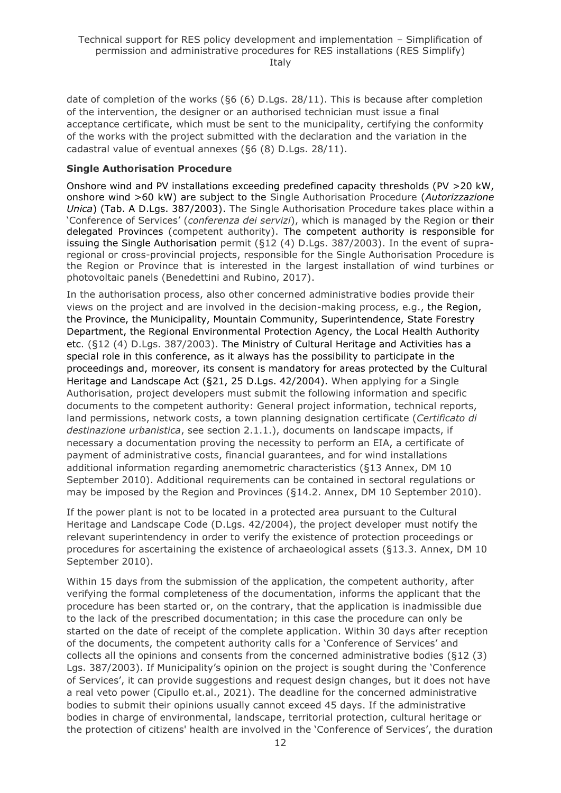date of completion of the works (§6 (6) D.Lgs. 28/11). This is because after completion of the intervention, the designer or an authorised technician must issue a final acceptance certificate, which must be sent to the municipality, certifying the conformity of the works with the project submitted with the declaration and the variation in the cadastral value of eventual annexes (§6 (8) D.Lgs. 28/11).

#### **Single Authorisation Procedure**

Onshore wind and PV installations exceeding predefined capacity thresholds (PV >20 kW, onshore wind >60 kW) are subject to the Single Authorisation Procedure (*Autorizzazione Unica*) (Tab. A D.Lgs. 387/2003). The Single Authorisation Procedure takes place within a 'Conference of Services' (*conferenza dei servizi*), which is managed by the Region or their delegated Provinces (competent authority). The competent authority is responsible for issuing the Single Authorisation permit (§12 (4) D.Lgs. 387/2003). In the event of supraregional or cross-provincial projects, responsible for the Single Authorisation Procedure is the Region or Province that is interested in the largest installation of wind turbines or photovoltaic panels (Benedettini and Rubino, 2017).

In the authorisation process, also other concerned administrative bodies provide their views on the project and are involved in the decision-making process, e.g., the Region, the Province, the Municipality, Mountain Community, Superintendence, State Forestry Department, the Regional Environmental Protection Agency, the Local Health Authority etc. (§12 (4) D.Lgs. 387/2003). The Ministry of Cultural Heritage and Activities has a special role in this conference, as it always has the possibility to participate in the proceedings and, moreover, its consent is mandatory for areas protected by the Cultural Heritage and Landscape Act (§21, 25 D.Lgs. 42/2004). When applying for a Single Authorisation, project developers must submit the following information and specific documents to the competent authority: General project information, technical reports, land permissions, network costs, a town planning designation certificate (*Certificato di destinazione urbanistica*, see section 2.1.1.), documents on landscape impacts, if necessary a documentation proving the necessity to perform an EIA, a certificate of payment of administrative costs, financial guarantees, and for wind installations additional information regarding anemometric characteristics (§13 Annex, DM 10 September 2010). Additional requirements can be contained in sectoral regulations or may be imposed by the Region and Provinces (§14.2. Annex, DM 10 September 2010).

If the power plant is not to be located in a protected area pursuant to the Cultural Heritage and Landscape Code (D.Lgs. 42/2004), the project developer must notify the relevant superintendency in order to verify the existence of protection proceedings or procedures for ascertaining the existence of archaeological assets (§13.3. Annex, DM 10 September 2010).

Within 15 days from the submission of the application, the competent authority, after verifying the formal completeness of the documentation, informs the applicant that the procedure has been started or, on the contrary, that the application is inadmissible due to the lack of the prescribed documentation; in this case the procedure can only be started on the date of receipt of the complete application. Within 30 days after reception of the documents, the competent authority calls for a 'Conference of Services' and collects all the opinions and consents from the concerned administrative bodies (§12 (3) Lgs. 387/2003). If Municipality's opinion on the project is sought during the 'Conference of Services', it can provide suggestions and request design changes, but it does not have a real veto power (Cipullo et.al., 2021). The deadline for the concerned administrative bodies to submit their opinions usually cannot exceed 45 days. If the administrative bodies in charge of environmental, landscape, territorial protection, cultural heritage or the protection of citizens' health are involved in the 'Conference of Services', the duration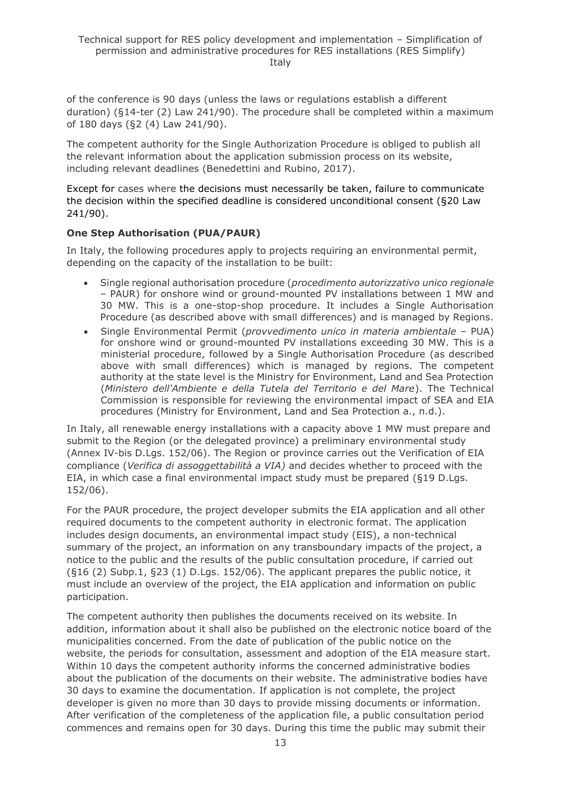of the conference is 90 days (unless the laws or regulations establish a different duration) (§14-ter (2) Law 241/90). The procedure shall be completed within a maximum of 180 days (§2 (4) Law 241/90).

The competent authority for the Single Authorization Procedure is obliged to publish all the relevant information about the application submission process on its website, including relevant deadlines (Benedettini and Rubino, 2017).

Except for cases where the decisions must necessarily be taken, failure to communicate the decision within the specified deadline is considered unconditional consent (§20 Law 241/90).

#### **One Step Authorisation (PUA/PAUR)**

In Italy, the following procedures apply to projects requiring an environmental permit, depending on the capacity of the installation to be built:

- Single regional authorisation procedure (*procedimento autorizzativo unico regionale* – PAUR) for onshore wind or ground-mounted PV installations between 1 MW and 30 MW. This is a one-stop-shop procedure. It includes a Single Authorisation Procedure (as described above with small differences) and is managed by Regions.
- Single Environmental Permit (*provvedimento unico in materia ambientale* PUA) for onshore wind or ground-mounted PV installations exceeding 30 MW. This is a ministerial procedure, followed by a Single Authorisation Procedure (as described above with small differences) which is managed by regions. The competent authority at the state level is the Ministry for Environment, Land and Sea Protection (*Ministero dell'Ambiente e della Tutela del Territorio e del Mare*). The Technical Commission is responsible for reviewing the environmental impact of SEA and EIA procedures (Ministry for Environment, Land and Sea Protection a., n.d.).

In Italy, all renewable energy installations with a capacity above 1 MW must prepare and submit to the Region (or the delegated province) a preliminary environmental study (Annex IV-bis D.Lgs. 152/06). The Region or province carries out the Verification of EIA compliance (*Verifica di assoggettabilità a VIA)* and decides whether to proceed with the EIA, in which case a final environmental impact study must be prepared (§19 D.Lgs. 152/06).

For the PAUR procedure, the project developer submits the EIA application and all other required documents to the competent authority in electronic format. The application includes design documents, an environmental impact study (EIS), a non-technical summary of the project, an information on any transboundary impacts of the project, a notice to the public and the results of the public consultation procedure, if carried out (§16 (2) Subp.1, §23 (1) D.Lgs. 152/06). The applicant prepares the public notice, it must include an overview of the project, the EIA application and information on public participation.

The competent authority then publishes the documents received on its website. In addition, information about it shall also be published on the electronic notice board of the municipalities concerned. From the date of publication of the public notice on the website, the periods for consultation, assessment and adoption of the EIA measure start. Within 10 days the competent authority informs the concerned administrative bodies about the publication of the documents on their website. The administrative bodies have 30 days to examine the documentation. If application is not complete, the project developer is given no more than 30 days to provide missing documents or information. After verification of the completeness of the application file, a public consultation period commences and remains open for 30 days. During this time the public may submit their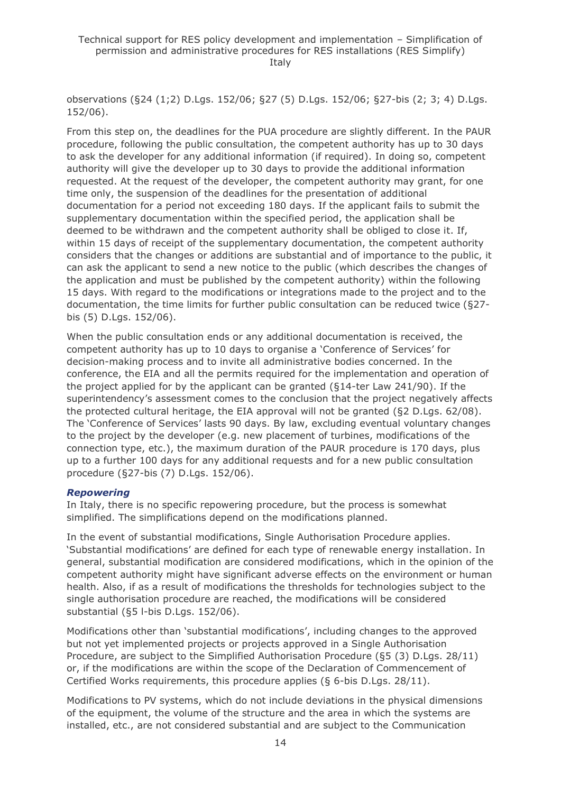observations (§24 (1;2) D.Lgs. 152/06; §27 (5) D.Lgs. 152/06; §27-bis (2; 3; 4) D.Lgs. 152/06).

From this step on, the deadlines for the PUA procedure are slightly different. In the PAUR procedure, following the public consultation, the competent authority has up to 30 days to ask the developer for any additional information (if required). In doing so, competent authority will give the developer up to 30 days to provide the additional information requested. At the request of the developer, the competent authority may grant, for one time only, the suspension of the deadlines for the presentation of additional documentation for a period not exceeding 180 days. If the applicant fails to submit the supplementary documentation within the specified period, the application shall be deemed to be withdrawn and the competent authority shall be obliged to close it. If, within 15 days of receipt of the supplementary documentation, the competent authority considers that the changes or additions are substantial and of importance to the public, it can ask the applicant to send a new notice to the public (which describes the changes of the application and must be published by the competent authority) within the following 15 days. With regard to the modifications or integrations made to the project and to the documentation, the time limits for further public consultation can be reduced twice (§27 bis (5) D.Lgs. 152/06).

When the public consultation ends or any additional documentation is received, the competent authority has up to 10 days to organise a 'Conference of Services' for decision-making process and to invite all administrative bodies concerned. In the conference, the EIA and all the permits required for the implementation and operation of the project applied for by the applicant can be granted (§14-ter Law 241/90). If the superintendency's assessment comes to the conclusion that the project negatively affects the protected cultural heritage, the EIA approval will not be granted (§2 D.Lgs. 62/08). The 'Conference of Services' lasts 90 days. By law, excluding eventual voluntary changes to the project by the developer (e.g. new placement of turbines, modifications of the connection type, etc.), the maximum duration of the PAUR procedure is 170 days, plus up to a further 100 days for any additional requests and for a new public consultation procedure (§27-bis (7) D.Lgs. 152/06).

#### *Repowering*

In Italy, there is no specific repowering procedure, but the process is somewhat simplified. The simplifications depend on the modifications planned.

In the event of substantial modifications, Single Authorisation Procedure applies. 'Substantial modifications' are defined for each type of renewable energy installation. In general, substantial modification are considered modifications, which in the opinion of the competent authority might have significant adverse effects on the environment or human health. Also, if as a result of modifications the thresholds for technologies subject to the single authorisation procedure are reached, the modifications will be considered substantial (§5 l-bis D.Lgs. 152/06).

Modifications other than 'substantial modifications', including changes to the approved but not yet implemented projects or projects approved in a Single Authorisation Procedure, are subject to the Simplified Authorisation Procedure (§5 (3) D.Lgs. 28/11) or, if the modifications are within the scope of the Declaration of Commencement of Certified Works requirements, this procedure applies (§ 6-bis D.Lgs. 28/11).

Modifications to PV systems, which do not include deviations in the physical dimensions of the equipment, the volume of the structure and the area in which the systems are installed, etc., are not considered substantial and are subject to the Communication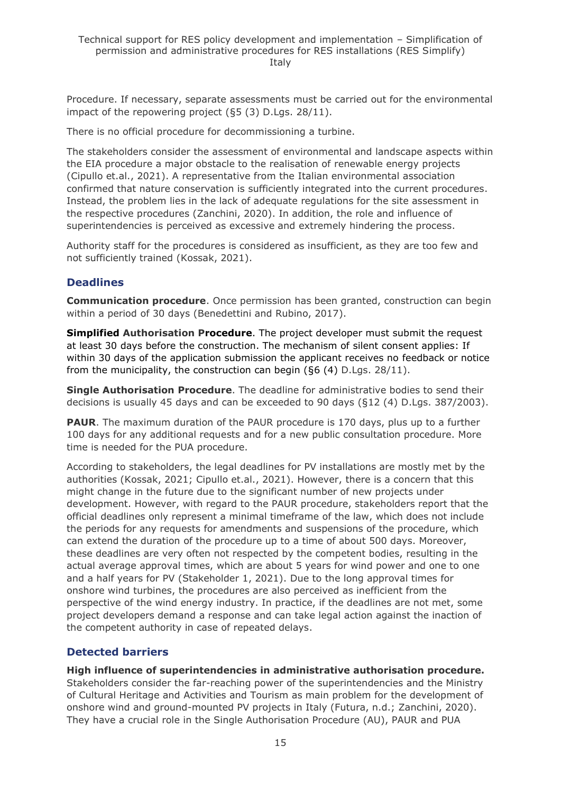Procedure. If necessary, separate assessments must be carried out for the environmental impact of the repowering project (§5 (3) D.Lgs. 28/11).

There is no official procedure for decommissioning a turbine.

The stakeholders consider the assessment of environmental and landscape aspects within the EIA procedure a major obstacle to the realisation of renewable energy projects (Cipullo et.al., 2021). A representative from the Italian environmental association confirmed that nature conservation is sufficiently integrated into the current procedures. Instead, the problem lies in the lack of adequate regulations for the site assessment in the respective procedures (Zanchini, 2020). In addition, the role and influence of superintendencies is perceived as excessive and extremely hindering the process.

Authority staff for the procedures is considered as insufficient, as they are too few and not sufficiently trained (Kossak, 2021).

#### **Deadlines**

**Communication procedure**. Once permission has been granted, construction can begin within a period of 30 days (Benedettini and Rubino, 2017).

**Simplified Authorisation Procedure**. The project developer must submit the request at least 30 days before the construction. The mechanism of silent consent applies: If within 30 days of the application submission the applicant receives no feedback or notice from the municipality, the construction can begin (§6 (4) D.Lgs. 28/11).

**Single Authorisation Procedure**. The deadline for administrative bodies to send their decisions is usually 45 days and can be exceeded to 90 days (§12 (4) D.Lgs. 387/2003).

**PAUR**. The maximum duration of the PAUR procedure is 170 days, plus up to a further 100 days for any additional requests and for a new public consultation procedure. More time is needed for the PUA procedure.

According to stakeholders, the legal deadlines for PV installations are mostly met by the authorities (Kossak, 2021; Cipullo et.al., 2021). However, there is a concern that this might change in the future due to the significant number of new projects under development. However, with regard to the PAUR procedure, stakeholders report that the official deadlines only represent a minimal timeframe of the law, which does not include the periods for any requests for amendments and suspensions of the procedure, which can extend the duration of the procedure up to a time of about 500 days. Moreover, these deadlines are very often not respected by the competent bodies, resulting in the actual average approval times, which are about 5 years for wind power and one to one and a half years for PV (Stakeholder 1, 2021). Due to the long approval times for onshore wind turbines, the procedures are also perceived as inefficient from the perspective of the wind energy industry. In practice, if the deadlines are not met, some project developers demand a response and can take legal action against the inaction of the competent authority in case of repeated delays.

### **Detected barriers**

**High influence of superintendencies in administrative authorisation procedure.**  Stakeholders consider the far-reaching power of the superintendencies and the Ministry of Cultural Heritage and Activities and Tourism as main problem for the development of onshore wind and ground-mounted PV projects in Italy (Futura, n.d.; Zanchini, 2020). They have a crucial role in the Single Authorisation Procedure (AU), PAUR and PUA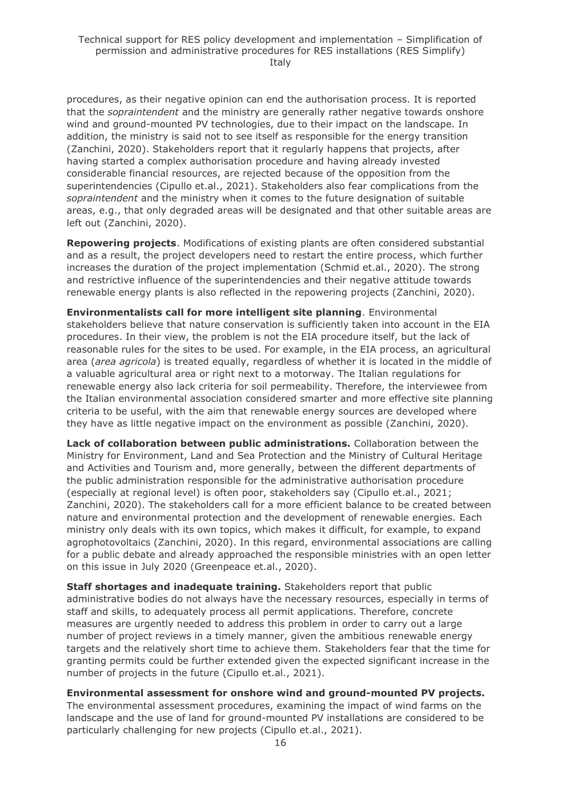procedures, as their negative opinion can end the authorisation process. It is reported that the *sopraintendent* and the ministry are generally rather negative towards onshore wind and ground-mounted PV technologies, due to their impact on the landscape. In addition, the ministry is said not to see itself as responsible for the energy transition (Zanchini, 2020). Stakeholders report that it regularly happens that projects, after having started a complex authorisation procedure and having already invested considerable financial resources, are rejected because of the opposition from the superintendencies (Cipullo et.al., 2021). Stakeholders also fear complications from the *sopraintendent* and the ministry when it comes to the future designation of suitable areas, e.g., that only degraded areas will be designated and that other suitable areas are left out (Zanchini, 2020).

**Repowering projects**. Modifications of existing plants are often considered substantial and as a result, the project developers need to restart the entire process, which further increases the duration of the project implementation (Schmid et.al., 2020). The strong and restrictive influence of the superintendencies and their negative attitude towards renewable energy plants is also reflected in the repowering projects (Zanchini, 2020).

**Environmentalists call for more intelligent site planning**. Environmental stakeholders believe that nature conservation is sufficiently taken into account in the EIA procedures. In their view, the problem is not the EIA procedure itself, but the lack of reasonable rules for the sites to be used. For example, in the EIA process, an agricultural area (*area agricola*) is treated equally, regardless of whether it is located in the middle of a valuable agricultural area or right next to a motorway. The Italian regulations for renewable energy also lack criteria for soil permeability. Therefore, the interviewee from the Italian environmental association considered smarter and more effective site planning criteria to be useful, with the aim that renewable energy sources are developed where they have as little negative impact on the environment as possible (Zanchini, 2020).

**Lack of collaboration between public administrations.** Collaboration between the Ministry for Environment, Land and Sea Protection and the Ministry of Cultural Heritage and Activities and Tourism and, more generally, between the different departments of the public administration responsible for the administrative authorisation procedure (especially at regional level) is often poor, stakeholders say (Cipullo et.al., 2021; Zanchini, 2020). The stakeholders call for a more efficient balance to be created between nature and environmental protection and the development of renewable energies. Each ministry only deals with its own topics, which makes it difficult, for example, to expand agrophotovoltaics (Zanchini, 2020). In this regard, environmental associations are calling for a public debate and already approached the responsible ministries with an open letter on this issue in July 2020 (Greenpeace et.al., 2020).

**Staff shortages and inadequate training.** Stakeholders report that public administrative bodies do not always have the necessary resources, especially in terms of staff and skills, to adequately process all permit applications. Therefore, concrete measures are urgently needed to address this problem in order to carry out a large number of project reviews in a timely manner, given the ambitious renewable energy targets and the relatively short time to achieve them. Stakeholders fear that the time for granting permits could be further extended given the expected significant increase in the number of projects in the future (Cipullo et.al., 2021).

**Environmental assessment for onshore wind and ground-mounted PV projects.** The environmental assessment procedures, examining the impact of wind farms on the landscape and the use of land for ground-mounted PV installations are considered to be particularly challenging for new projects (Cipullo et.al., 2021).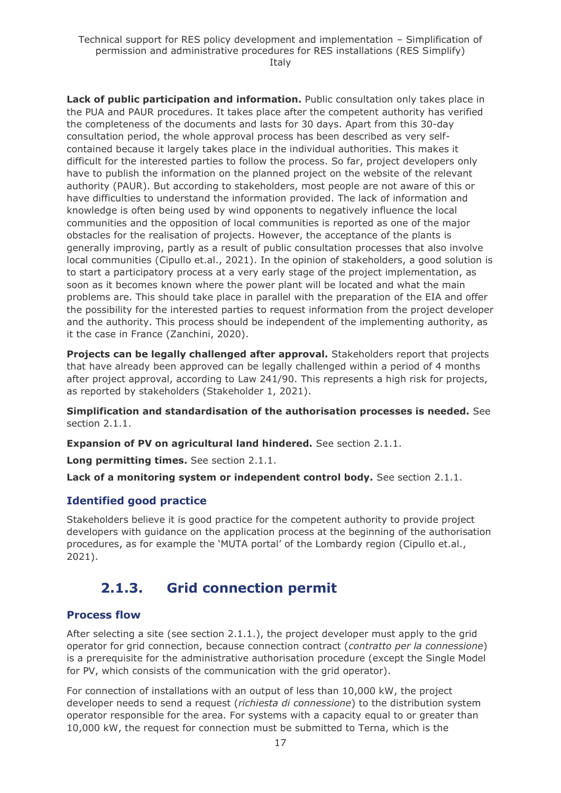**Lack of public participation and information.** Public consultation only takes place in the PUA and PAUR procedures. It takes place after the competent authority has verified the completeness of the documents and lasts for 30 days. Apart from this 30-day consultation period, the whole approval process has been described as very selfcontained because it largely takes place in the individual authorities. This makes it difficult for the interested parties to follow the process. So far, project developers only have to publish the information on the planned project on the website of the relevant authority (PAUR). But according to stakeholders, most people are not aware of this or have difficulties to understand the information provided. The lack of information and knowledge is often being used by wind opponents to negatively influence the local communities and the opposition of local communities is reported as one of the major obstacles for the realisation of projects. However, the acceptance of the plants is generally improving, partly as a result of public consultation processes that also involve local communities (Cipullo et.al., 2021). In the opinion of stakeholders, a good solution is to start a participatory process at a very early stage of the project implementation, as soon as it becomes known where the power plant will be located and what the main problems are. This should take place in parallel with the preparation of the EIA and offer the possibility for the interested parties to request information from the project developer and the authority. This process should be independent of the implementing authority, as it the case in France (Zanchini, 2020).

**Projects can be legally challenged after approval.** Stakeholders report that projects that have already been approved can be legally challenged within a period of 4 months after project approval, according to Law 241/90. This represents a high risk for projects, as reported by stakeholders (Stakeholder 1, 2021).

**Simplification and standardisation of the authorisation processes is needed.** See section 2.1.1.

**Expansion of PV on agricultural land hindered.** See section 2.1.1.

**Long permitting times.** See section 2.1.1.

**Lack of a monitoring system or independent control body.** See section 2.1.1.

#### **Identified good practice**

Stakeholders believe it is good practice for the competent authority to provide project developers with guidance on the application process at the beginning of the authorisation procedures, as for example the 'MUTA portal' of the Lombardy region (Cipullo et.al., 2021).

### <span id="page-16-0"></span>**2.1.3. Grid connection permit**

#### **Process flow**

After selecting a site (see section 2.1.1.), the project developer must apply to the grid operator for grid connection, because connection contract (*contratto per la connessione*) is a prerequisite for the administrative authorisation procedure (except the Single Model for PV, which consists of the communication with the grid operator).

For connection of installations with an output of less than 10,000 kW, the project developer needs to send a request (*richiesta di connessione*) to the distribution system operator responsible for the area. For systems with a capacity equal to or greater than 10,000 kW, the request for connection must be submitted to Terna, which is the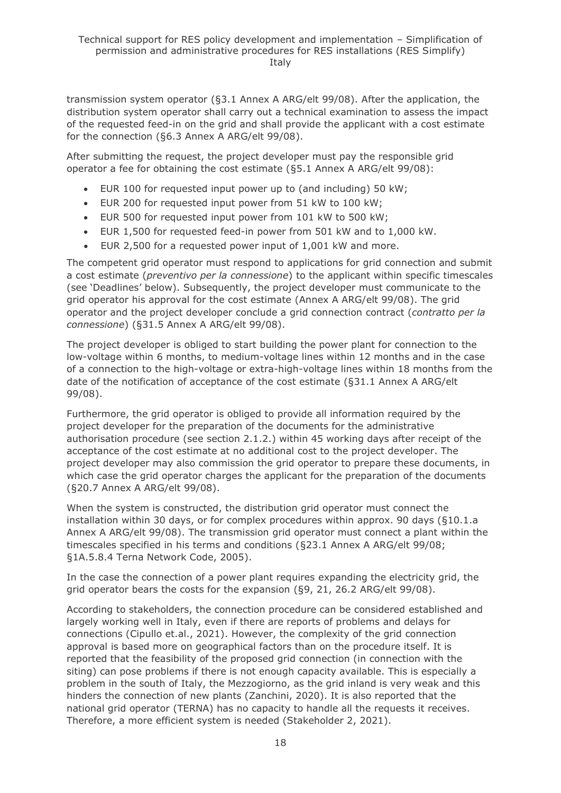transmission system operator (§3.1 Annex A ARG/elt 99/08). After the application, the distribution system operator shall carry out a technical examination to assess the impact of the requested feed-in on the grid and shall provide the applicant with a cost estimate for the connection (§6.3 Annex A ARG/elt 99/08).

After submitting the request, the project developer must pay the responsible grid operator a fee for obtaining the cost estimate (§5.1 Annex A ARG/elt 99/08):

- EUR 100 for requested input power up to (and including) 50 kW;
- EUR 200 for requested input power from 51 kW to 100 kW;
- EUR 500 for requested input power from 101 kW to 500 kW;
- EUR 1,500 for requested feed-in power from 501 kW and to 1,000 kW.
- EUR 2,500 for a requested power input of 1,001 kW and more.

The competent grid operator must respond to applications for grid connection and submit a cost estimate (*preventivo per la connessione*) to the applicant within specific timescales (see 'Deadlines' below). Subsequently, the project developer must communicate to the grid operator his approval for the cost estimate (Annex A ARG/elt 99/08). The grid operator and the project developer conclude a grid connection contract (*contratto per la connessione*) (§31.5 Annex A ARG/elt 99/08).

The project developer is obliged to start building the power plant for connection to the low-voltage within 6 months, to medium-voltage lines within 12 months and in the case of a connection to the high-voltage or extra-high-voltage lines within 18 months from the date of the notification of acceptance of the cost estimate (§31.1 Annex A ARG/elt 99/08).

Furthermore, the grid operator is obliged to provide all information required by the project developer for the preparation of the documents for the administrative authorisation procedure (see section 2.1.2.) within 45 working days after receipt of the acceptance of the cost estimate at no additional cost to the project developer. The project developer may also commission the grid operator to prepare these documents, in which case the grid operator charges the applicant for the preparation of the documents (§20.7 Annex A ARG/elt 99/08).

When the system is constructed, the distribution grid operator must connect the installation within 30 days, or for complex procedures within approx. 90 days (§10.1.a Annex A ARG/elt 99/08). The transmission grid operator must connect a plant within the timescales specified in his terms and conditions (§23.1 Annex A ARG/elt 99/08; §1A.5.8.4 Terna Network Code, 2005).

In the case the connection of a power plant requires expanding the electricity grid, the grid operator bears the costs for the expansion (§9, 21, 26.2 ARG/elt 99/08).

According to stakeholders, the connection procedure can be considered established and largely working well in Italy, even if there are reports of problems and delays for connections (Cipullo et.al., 2021). However, the complexity of the grid connection approval is based more on geographical factors than on the procedure itself. It is reported that the feasibility of the proposed grid connection (in connection with the siting) can pose problems if there is not enough capacity available. This is especially a problem in the south of Italy, the Mezzogiorno, as the grid inland is very weak and this hinders the connection of new plants (Zanchini, 2020). It is also reported that the national grid operator (TERNA) has no capacity to handle all the requests it receives. Therefore, a more efficient system is needed (Stakeholder 2, 2021).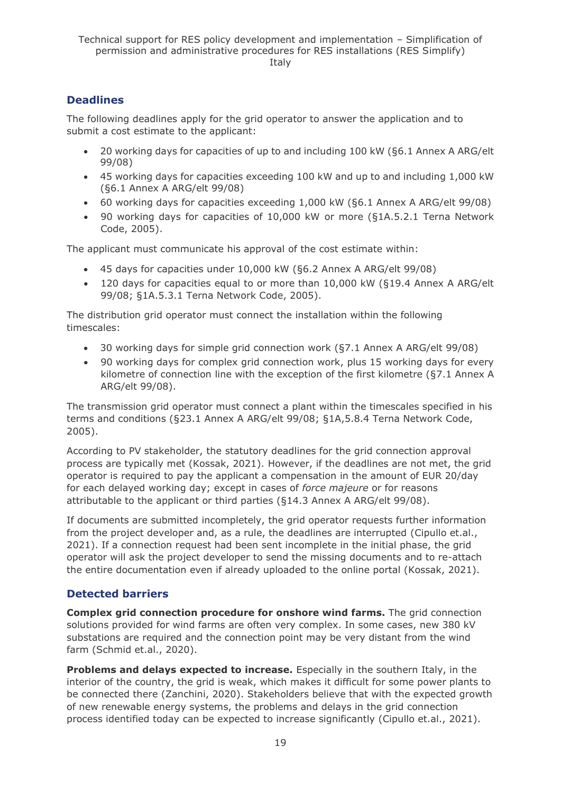### **Deadlines**

The following deadlines apply for the grid operator to answer the application and to submit a cost estimate to the applicant:

- 20 working days for capacities of up to and including 100 kW (§6.1 Annex A ARG/elt 99/08)
- 45 working days for capacities exceeding 100 kW and up to and including 1,000 kW (§6.1 Annex A ARG/elt 99/08)
- 60 working days for capacities exceeding 1,000 kW (§6.1 Annex A ARG/elt 99/08)
- 90 working days for capacities of 10,000 kW or more (§1A.5.2.1 Terna Network Code, 2005).

The applicant must communicate his approval of the cost estimate within:

- 45 days for capacities under 10,000 kW (§6.2 Annex A ARG/elt 99/08)
- 120 days for capacities equal to or more than 10,000 kW (§19.4 Annex A ARG/elt 99/08; §1A.5.3.1 Terna Network Code, 2005).

The distribution grid operator must connect the installation within the following timescales:

- 30 working days for simple grid connection work (§7.1 Annex A ARG/elt 99/08)
- 90 working days for complex grid connection work, plus 15 working days for every kilometre of connection line with the exception of the first kilometre (§7.1 Annex A ARG/elt 99/08).

The transmission grid operator must connect a plant within the timescales specified in his terms and conditions (§23.1 Annex A ARG/elt 99/08; §1A,5.8.4 Terna Network Code, 2005).

According to PV stakeholder, the statutory deadlines for the grid connection approval process are typically met (Kossak, 2021). However, if the deadlines are not met, the grid operator is required to pay the applicant a compensation in the amount of EUR 20/day for each delayed working day; except in cases of *force majeure* or for reasons attributable to the applicant or third parties (§14.3 Annex A ARG/elt 99/08).

If documents are submitted incompletely, the grid operator requests further information from the project developer and, as a rule, the deadlines are interrupted (Cipullo et.al., 2021). If a connection request had been sent incomplete in the initial phase, the grid operator will ask the project developer to send the missing documents and to re-attach the entire documentation even if already uploaded to the online portal (Kossak, 2021).

### **Detected barriers**

**Complex grid connection procedure for onshore wind farms.** The grid connection solutions provided for wind farms are often very complex. In some cases, new 380 kV substations are required and the connection point may be very distant from the wind farm (Schmid et.al., 2020).

**Problems and delays expected to increase.** Especially in the southern Italy, in the interior of the country, the grid is weak, which makes it difficult for some power plants to be connected there (Zanchini, 2020). Stakeholders believe that with the expected growth of new renewable energy systems, the problems and delays in the grid connection process identified today can be expected to increase significantly (Cipullo et.al., 2021).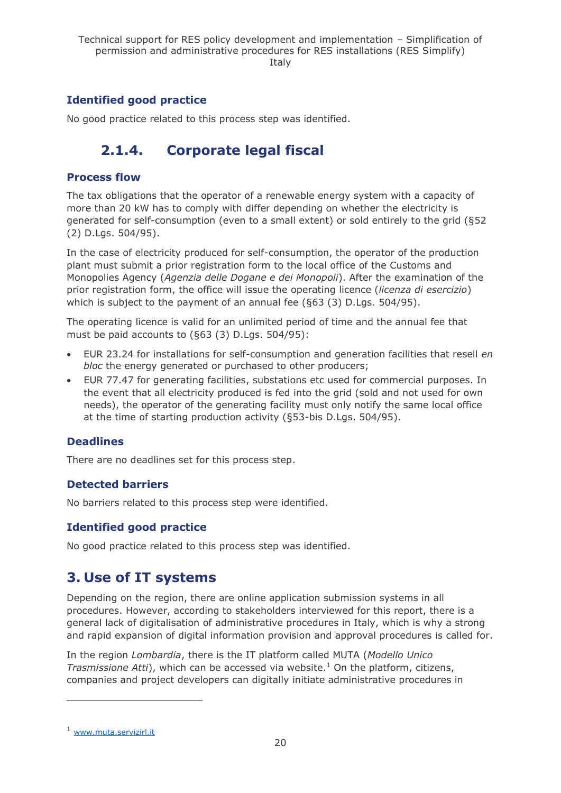### **Identified good practice**

<span id="page-19-0"></span>No good practice related to this process step was identified.

## **2.1.4. Corporate legal fiscal**

#### **Process flow**

The tax obligations that the operator of a renewable energy system with a capacity of more than 20 kW has to comply with differ depending on whether the electricity is generated for self-consumption (even to a small extent) or sold entirely to the grid (§52 (2) D.Lgs. 504/95).

In the case of electricity produced for self-consumption, the operator of the production plant must submit a prior registration form to the local office of the Customs and Monopolies Agency (*Agenzia delle Dogane e dei Monopoli*). After the examination of the prior registration form, the office will issue the operating licence (*licenza di esercizio*) which is subject to the payment of an annual fee (§63 (3) D.Lgs. 504/95).

The operating licence is valid for an unlimited period of time and the annual fee that must be paid accounts to (§63 (3) D.Lgs. 504/95):

- EUR 23.24 for installations for self-consumption and generation facilities that resell *en bloc* the energy generated or purchased to other producers;
- EUR 77.47 for generating facilities, substations etc used for commercial purposes. In the event that all electricity produced is fed into the grid (sold and not used for own needs), the operator of the generating facility must only notify the same local office at the time of starting production activity (§53-bis D.Lgs. 504/95).

#### **Deadlines**

There are no deadlines set for this process step.

### **Detected barriers**

No barriers related to this process step were identified.

### **Identified good practice**

No good practice related to this process step was identified.

### <span id="page-19-1"></span>**3. Use of IT systems**

Depending on the region, there are online application submission systems in all procedures. However, according to stakeholders interviewed for this report, there is a general lack of digitalisation of administrative procedures in Italy, which is why a strong and rapid expansion of digital information provision and approval procedures is called for.

In the region *Lombardia*, there is the IT platform called MUTA (*Modello Unico Trasmissione Atti*), which can be accessed via website.<sup>1</sup> On the platform, citizens, companies and project developers can digitally initiate administrative procedures in

<sup>1</sup> www.muta.servizirl.it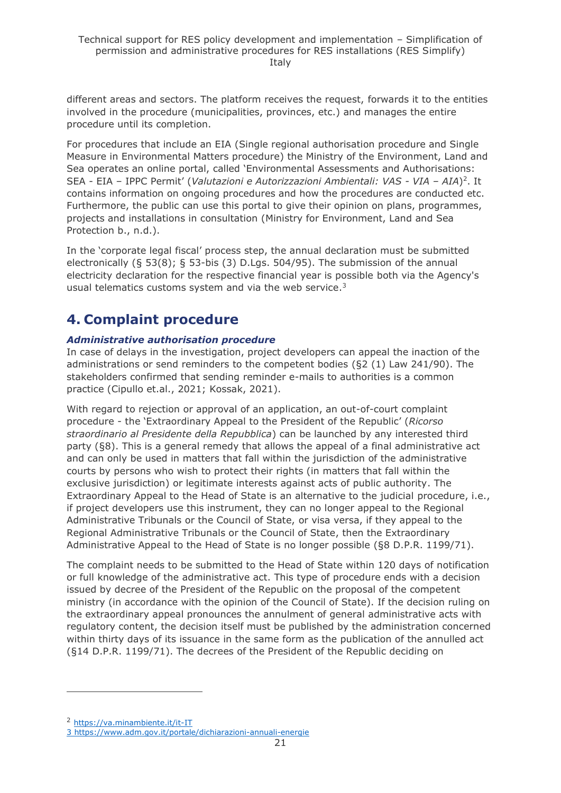different areas and sectors. The platform receives the request, forwards it to the entities involved in the procedure (municipalities, provinces, etc.) and manages the entire procedure until its completion.

For procedures that include an EIA (Single regional authorisation procedure and Single Measure in Environmental Matters procedure) the Ministry of the Environment, Land and Sea operates an online portal, called 'Environmental Assessments and Authorisations: SEA - EIA – IPPC Permit' (*Valutazioni e Autorizzazioni Ambientali: VAS - VIA – AIA*) 2 . It contains information on ongoing procedures and how the procedures are conducted etc. Furthermore, the public can use this portal to give their opinion on plans, programmes, projects and installations in consultation (Ministry for Environment, Land and Sea Protection b., n.d.).

In the 'corporate legal fiscal' process step, the annual declaration must be submitted electronically (§ 53(8); § 53-bis (3) D.Lgs. 504/95). The submission of the annual electricity declaration for the respective financial year is possible both via the Agency's usual telematics customs system and via the web service.<sup>3</sup>

## <span id="page-20-0"></span>**4. Complaint procedure**

#### *Administrative authorisation procedure*

In case of delays in the investigation, project developers can appeal the inaction of the administrations or send reminders to the competent bodies (§2 (1) Law 241/90). The stakeholders confirmed that sending reminder e-mails to authorities is a common practice (Cipullo et.al., 2021; Kossak, 2021).

With regard to rejection or approval of an application, an out-of-court complaint procedure - the 'Extraordinary Appeal to the President of the Republic' (*Ricorso straordinario al Presidente della Repubblica*) can be launched by any interested third party (§8). This is a general remedy that allows the appeal of a final administrative act and can only be used in matters that fall within the jurisdiction of the administrative courts by persons who wish to protect their rights (in matters that fall within the exclusive jurisdiction) or legitimate interests against acts of public authority. The Extraordinary Appeal to the Head of State is an alternative to the judicial procedure, i.e., if project developers use this instrument, they can no longer appeal to the Regional Administrative Tribunals or the Council of State, or visa versa, if they appeal to the Regional Administrative Tribunals or the Council of State, then the Extraordinary Administrative Appeal to the Head of State is no longer possible (§8 D.P.R. 1199/71).

The complaint needs to be submitted to the Head of State within 120 days of notification or full knowledge of the administrative act. This type of procedure ends with a decision issued by decree of the President of the Republic on the proposal of the competent ministry (in accordance with the opinion of the Council of State). If the decision ruling on the extraordinary appeal pronounces the annulment of general administrative acts with regulatory content, the decision itself must be published by the administration concerned within thirty days of its issuance in the same form as the publication of the annulled act (§14 D.P.R. 1199/71). The decrees of the President of the Republic deciding on

<sup>2</sup> <https://va.minambiente.it/it-IT>

<sup>3</sup> https://www.adm.gov.it/portale/dichiarazioni-annuali-energie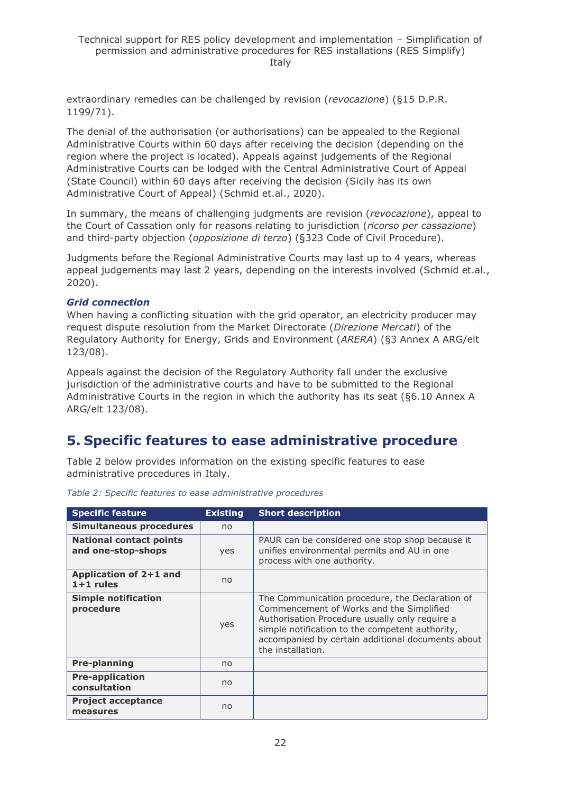extraordinary remedies can be challenged by revision (*revocazione*) (§15 D.P.R. 1199/71).

The denial of the authorisation (or authorisations) can be appealed to the Regional Administrative Courts within 60 days after receiving the decision (depending on the region where the project is located). Appeals against judgements of the Regional Administrative Courts can be lodged with the Central Administrative Court of Appeal (State Council) within 60 days after receiving the decision (Sicily has its own Administrative Court of Appeal) (Schmid et.al., 2020).

In summary, the means of challenging judgments are revision (*revocazione*), appeal to the Court of Cassation only for reasons relating to jurisdiction (*ricorso per cassazione*) and third-party objection (*opposizione di terzo*) (§323 Code of Civil Procedure).

Judgments before the Regional Administrative Courts may last up to 4 years, whereas appeal judgements may last 2 years, depending on the interests involved (Schmid et.al., 2020).

#### *Grid connection*

When having a conflicting situation with the grid operator, an electricity producer may request dispute resolution from the Market Directorate (*Direzione Mercati*) of the Regulatory Authority for Energy, Grids and Environment (*ARERA*) (§3 Annex A ARG/elt 123/08).

Appeals against the decision of the Regulatory Authority fall under the exclusive jurisdiction of the administrative courts and have to be submitted to the Regional Administrative Courts in the region in which the authority has its seat (§6.10 Annex A ARG/elt 123/08).

### <span id="page-21-0"></span>**5. Specific features to ease administrative procedure**

Table 2 below provides information on the existing specific features to ease administrative procedures in Italy.

| <b>Specific feature</b>                              | <b>Existing</b> | <b>Short description</b>                                                                                                                                                                                                                                                   |
|------------------------------------------------------|-----------------|----------------------------------------------------------------------------------------------------------------------------------------------------------------------------------------------------------------------------------------------------------------------------|
| <b>Simultaneous procedures</b>                       | no              |                                                                                                                                                                                                                                                                            |
| <b>National contact points</b><br>and one-stop-shops | yes             | PAUR can be considered one stop shop because it<br>unifies environmental permits and AU in one<br>process with one authority.                                                                                                                                              |
| Application of 2+1 and<br>$1+1$ rules                | no              |                                                                                                                                                                                                                                                                            |
| <b>Simple notification</b><br>procedure              | yes             | The Communication procedure, the Declaration of<br>Commencement of Works and the Simplified<br>Authorisation Procedure usually only require a<br>simple notification to the competent authority,<br>accompanied by certain additional documents about<br>the installation. |
| <b>Pre-planning</b>                                  | no              |                                                                                                                                                                                                                                                                            |
| <b>Pre-application</b><br>consultation               | no              |                                                                                                                                                                                                                                                                            |
| <b>Project acceptance</b><br>measures                | no              |                                                                                                                                                                                                                                                                            |

*Table 2: Specific features to ease administrative procedures*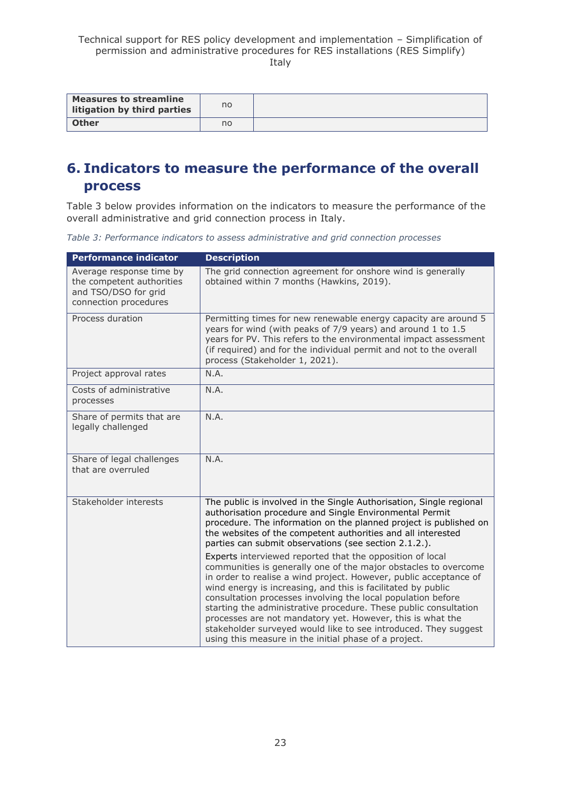| <b>Measures to streamline</b><br>litigation by third parties | no |  |
|--------------------------------------------------------------|----|--|
| Other                                                        | no |  |

## <span id="page-22-0"></span>**6. Indicators to measure the performance of the overall process**

Table 3 below provides information on the indicators to measure the performance of the overall administrative and grid connection process in Italy.

*Table 3: Performance indicators to assess administrative and grid connection processes*

| <b>Performance indicator</b>                                                                           | <b>Description</b>                                                                                                                                                                                                                                                                                                                                                                                                                                                                                                                                                                                                                                                                                                                                                                                                                                                                                                              |
|--------------------------------------------------------------------------------------------------------|---------------------------------------------------------------------------------------------------------------------------------------------------------------------------------------------------------------------------------------------------------------------------------------------------------------------------------------------------------------------------------------------------------------------------------------------------------------------------------------------------------------------------------------------------------------------------------------------------------------------------------------------------------------------------------------------------------------------------------------------------------------------------------------------------------------------------------------------------------------------------------------------------------------------------------|
| Average response time by<br>the competent authorities<br>and TSO/DSO for grid<br>connection procedures | The grid connection agreement for onshore wind is generally<br>obtained within 7 months (Hawkins, 2019).                                                                                                                                                                                                                                                                                                                                                                                                                                                                                                                                                                                                                                                                                                                                                                                                                        |
| Process duration                                                                                       | Permitting times for new renewable energy capacity are around 5<br>years for wind (with peaks of 7/9 years) and around 1 to 1.5<br>years for PV. This refers to the environmental impact assessment<br>(if required) and for the individual permit and not to the overall<br>process (Stakeholder 1, 2021).                                                                                                                                                                                                                                                                                                                                                                                                                                                                                                                                                                                                                     |
| Project approval rates                                                                                 | N.A.                                                                                                                                                                                                                                                                                                                                                                                                                                                                                                                                                                                                                                                                                                                                                                                                                                                                                                                            |
| Costs of administrative<br>processes                                                                   | N.A.                                                                                                                                                                                                                                                                                                                                                                                                                                                                                                                                                                                                                                                                                                                                                                                                                                                                                                                            |
| Share of permits that are<br>legally challenged                                                        | N.A.                                                                                                                                                                                                                                                                                                                                                                                                                                                                                                                                                                                                                                                                                                                                                                                                                                                                                                                            |
| Share of legal challenges<br>that are overruled                                                        | N.A.                                                                                                                                                                                                                                                                                                                                                                                                                                                                                                                                                                                                                                                                                                                                                                                                                                                                                                                            |
| Stakeholder interests                                                                                  | The public is involved in the Single Authorisation, Single regional<br>authorisation procedure and Single Environmental Permit<br>procedure. The information on the planned project is published on<br>the websites of the competent authorities and all interested<br>parties can submit observations (see section 2.1.2.).<br>Experts interviewed reported that the opposition of local<br>communities is generally one of the major obstacles to overcome<br>in order to realise a wind project. However, public acceptance of<br>wind energy is increasing, and this is facilitated by public<br>consultation processes involving the local population before<br>starting the administrative procedure. These public consultation<br>processes are not mandatory yet. However, this is what the<br>stakeholder surveyed would like to see introduced. They suggest<br>using this measure in the initial phase of a project. |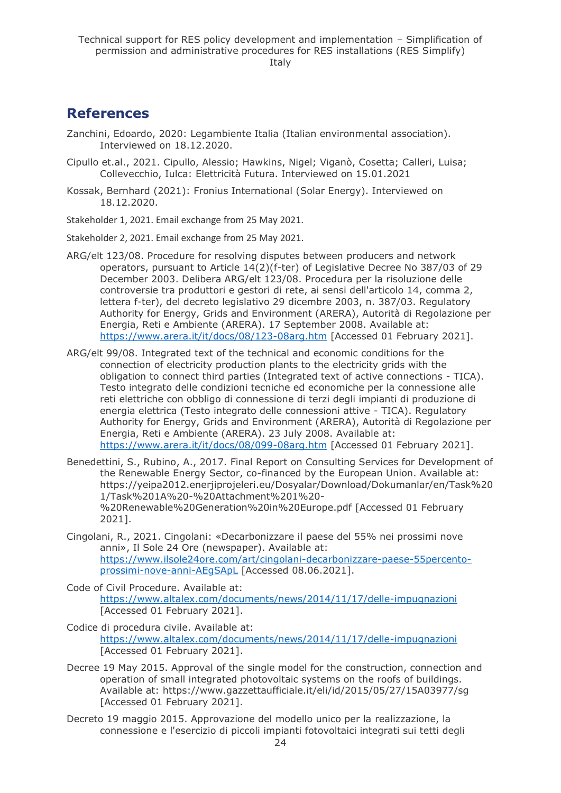### <span id="page-23-0"></span>**References**

- Zanchini, Edoardo, 2020: Legambiente Italia (Italian environmental association). Interviewed on 18.12.2020.
- Cipullo et.al., 2021. Cipullo, Alessio; Hawkins, Nigel; Viganò, Cosetta; Calleri, Luisa; Collevecchio, Iulca: Elettricità Futura. Interviewed on 15.01.2021
- Kossak, Bernhard (2021): Fronius International (Solar Energy). Interviewed on 18.12.2020.

Stakeholder 1, 2021. Email exchange from 25 May 2021.

Stakeholder 2, 2021. Email exchange from 25 May 2021.

- ARG/elt 123/08. Procedure for resolving disputes between producers and network operators, pursuant to Article 14(2)(f-ter) of Legislative Decree No 387/03 of 29 December 2003. Delibera ARG/elt 123/08. Procedura per la risoluzione delle controversie tra produttori e gestori di rete, ai sensi dell'articolo 14, comma 2, lettera f-ter), del decreto legislativo 29 dicembre 2003, n. 387/03. Regulatory Authority for Energy, Grids and Environment (ARERA), Autorità di Regolazione per Energia, Reti e Ambiente (ARERA). 17 September 2008. Available at: <https://www.arera.it/it/docs/08/123-08arg.htm> [Accessed 01 February 2021].
- ARG/elt 99/08. Integrated text of the technical and economic conditions for the connection of electricity production plants to the electricity grids with the obligation to connect third parties (Integrated text of active connections - TICA). Testo integrato delle condizioni tecniche ed economiche per la connessione alle reti elettriche con obbligo di connessione di terzi degli impianti di produzione di energia elettrica (Testo integrato delle connessioni attive - TICA). Regulatory Authority for Energy, Grids and Environment (ARERA), Autorità di Regolazione per Energia, Reti e Ambiente (ARERA). 23 July 2008. Available at: <https://www.arera.it/it/docs/08/099-08arg.htm> [Accessed 01 February 2021].
- Benedettini, S., Rubino, A., 2017. Final Report on Consulting Services for Development of the Renewable Energy Sector, co-financed by the European Union. Available at: [https://yeipa2012.enerjiprojeleri.eu/Dosyalar/Download/Dokumanlar/en/Task%20](https://yeipa2012.enerjiprojeleri.eu/Dosyalar/Download/Dokumanlar/en/Task%201/Task%201A%20-%20Attachment%201%20-%20Renewable%20Generation%20in%20Europe.pdf) [1/Task%201A%20-%20Attachment%201%20-](https://yeipa2012.enerjiprojeleri.eu/Dosyalar/Download/Dokumanlar/en/Task%201/Task%201A%20-%20Attachment%201%20-%20Renewable%20Generation%20in%20Europe.pdf) [%20Renewable%20Generation%20in%20Europe.pdf](https://yeipa2012.enerjiprojeleri.eu/Dosyalar/Download/Dokumanlar/en/Task%201/Task%201A%20-%20Attachment%201%20-%20Renewable%20Generation%20in%20Europe.pdf) [Accessed 01 February 2021].
- Cingolani, R., 2021. Cingolani: «Decarbonizzare il paese del 55% nei prossimi nove anni», Il Sole 24 Ore (newspaper). Available at: [https://www.ilsole24ore.com/art/cingolani-decarbonizzare-paese-55percento](https://www.ilsole24ore.com/art/cingolani-decarbonizzare-paese-55percento-prossimi-nove-anni-AEgSApL)[prossimi-nove-anni-AEgSApL](https://www.ilsole24ore.com/art/cingolani-decarbonizzare-paese-55percento-prossimi-nove-anni-AEgSApL) [Accessed 08.06.2021].
- Code of Civil Procedure. Available at: <https://www.altalex.com/documents/news/2014/11/17/delle-impugnazioni> [Accessed 01 February 2021].
- Codice di procedura civile. Available at: <https://www.altalex.com/documents/news/2014/11/17/delle-impugnazioni> [Accessed 01 February 2021].
- Decree 19 May 2015. Approval of the single model for the construction, connection and operation of small integrated photovoltaic systems on the roofs of buildings. Available at: https://www.gazzettaufficiale.it/eli/id/2015/05/27/15A03977/sg [Accessed 01 February 2021].
- Decreto 19 maggio 2015. Approvazione del modello unico per la realizzazione, la connessione e l'esercizio di piccoli impianti fotovoltaici integrati sui tetti degli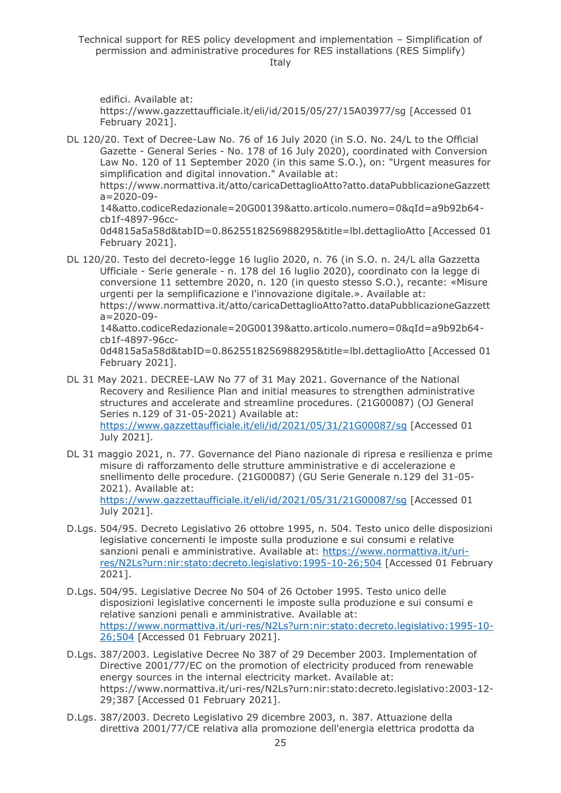edifici. Available at:

https://www.gazzettaufficiale.it/eli/id/2015/05/27/15A03977/sg [Accessed 01 February 2021].

- DL 120/20. Text of Decree-Law No. 76 of 16 July 2020 (in S.O. No. 24/L to the Official Gazette - General Series - No. 178 of 16 July 2020), coordinated with Conversion Law No. 120 of 11 September 2020 (in this same S.O.), on: "Urgent measures for simplification and digital innovation." Available at: https://www.normattiva.it/atto/caricaDettaglioAtto?atto.dataPubblicazioneGazzett a=2020-09- 14&atto.codiceRedazionale=20G00139&atto.articolo.numero=0&qId=a9b92b64 cb1f-4897-96cc-0d4815a5a58d&tabID=0.8625518256988295&title=lbl.dettaglioAtto [Accessed 01 February 2021].
- DL 120/20. Testo del decreto-legge 16 luglio 2020, n. 76 (in S.O. n. 24/L alla Gazzetta Ufficiale - Serie generale - n. 178 del 16 luglio 2020), coordinato con la legge di conversione 11 settembre 2020, n. 120 (in questo stesso S.O.), recante: «Misure urgenti per la semplificazione e l'innovazione digitale.». Available at: https://www.normattiva.it/atto/caricaDettaglioAtto?atto.dataPubblicazioneGazzett a=2020-09- 14&atto.codiceRedazionale=20G00139&atto.articolo.numero=0&qId=a9b92b64-

cb1f-4897-96cc-

0d4815a5a58d&tabID=0.8625518256988295&title=lbl.dettaglioAtto [Accessed 01 February 2021].

- DL 31 May 2021. DECREE-LAW No 77 of 31 May 2021. Governance of the National Recovery and Resilience Plan and initial measures to strengthen administrative structures and accelerate and streamline procedures. (21G00087) (OJ General Series n.129 of 31-05-2021) Available at: <https://www.gazzettaufficiale.it/eli/id/2021/05/31/21G00087/sg> [Accessed 01 July 2021].
- DL 31 maggio 2021, n. 77. Governance del Piano nazionale di ripresa e resilienza e prime misure di rafforzamento delle strutture amministrative e di accelerazione e snellimento delle procedure. (21G00087) (GU Serie Generale n.129 del 31-05- 2021). Available at: <https://www.gazzettaufficiale.it/eli/id/2021/05/31/21G00087/sg> [Accessed 01 July 2021].
- D.Lgs. 504/95. Decreto Legislativo 26 ottobre 1995, n. 504. Testo unico delle disposizioni legislative concernenti le imposte sulla produzione e sui consumi e relative sanzioni penali e amministrative. Available at: [https://www.normattiva.it/uri](https://www.normattiva.it/uri-res/N2Ls?urn:nir:stato:decreto.legislativo:1995-10-26;504)[res/N2Ls?urn:nir:stato:decreto.legislativo:1995-10-26;504](https://www.normattiva.it/uri-res/N2Ls?urn:nir:stato:decreto.legislativo:1995-10-26;504) [Accessed 01 February 2021].
- D.Lgs. 504/95. Legislative Decree No 504 of 26 October 1995. Testo unico delle disposizioni legislative concernenti le imposte sulla produzione e sui consumi e relative sanzioni penali e amministrative. Available at: [https://www.normattiva.it/uri-res/N2Ls?urn:nir:stato:decreto.legislativo:1995-10-](https://www.normattiva.it/uri-res/N2Ls?urn:nir:stato:decreto.legislativo:1995-10-26;504) [26;504](https://www.normattiva.it/uri-res/N2Ls?urn:nir:stato:decreto.legislativo:1995-10-26;504) [Accessed 01 February 2021].
- D.Lgs. 387/2003. Legislative Decree No 387 of 29 December 2003. Implementation of Directive 2001/77/EC on the promotion of electricity produced from renewable energy sources in the internal electricity market. Available at: https://www.normattiva.it/uri-res/N2Ls?urn:nir:stato:decreto.legislativo:2003-12- 29;387 [Accessed 01 February 2021].
- D.Lgs. 387/2003. Decreto Legislativo 29 dicembre 2003, n. 387. Attuazione della direttiva 2001/77/CE relativa alla promozione dell'energia elettrica prodotta da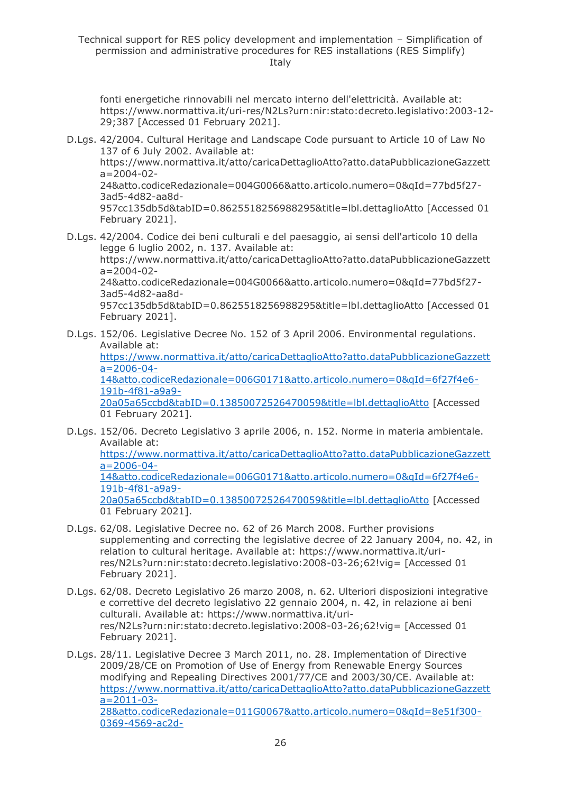fonti energetiche rinnovabili nel mercato interno dell'elettricità. Available at: https://www.normattiva.it/uri-res/N2Ls?urn:nir:stato:decreto.legislativo:2003-12- 29;387 [Accessed 01 February 2021].

D.Lgs. 42/2004. Cultural Heritage and Landscape Code pursuant to Article 10 of Law No 137 of 6 July 2002. Available at:

https://www.normattiva.it/atto/caricaDettaglioAtto?atto.dataPubblicazioneGazzett  $a=2004-02-$ 

24&atto.codiceRedazionale=004G0066&atto.articolo.numero=0&qId=77bd5f27- 3ad5-4d82-aa8d-

957cc135db5d&tabID=0.8625518256988295&title=lbl.dettaglioAtto [Accessed 01 February 2021].

- D.Lgs. 42/2004. Codice dei beni culturali e del paesaggio, ai sensi dell'articolo 10 della legge 6 luglio 2002, n. 137. Available at: https://www.normattiva.it/atto/caricaDettaglioAtto?atto.dataPubblicazioneGazzett a=2004-02- 24&atto.codiceRedazionale=004G0066&atto.articolo.numero=0&qId=77bd5f27- 3ad5-4d82-aa8d-957cc135db5d&tabID=0.8625518256988295&title=lbl.dettaglioAtto [Accessed 01 February 2021].
- D.Lgs. 152/06. Legislative Decree No. 152 of 3 April 2006. Environmental regulations. Available at: [https://www.normattiva.it/atto/caricaDettaglioAtto?atto.dataPubblicazioneGazzett](https://www.normattiva.it/atto/caricaDettaglioAtto?atto.dataPubblicazioneGazzetta=2006-04-14&atto.codiceRedazionale=006G0171&atto.articolo.numero=0&qId=6f27f4e6-191b-4f81-a9a9-20a05a65ccbd&tabID=0.13850072526470059&title=lbl.dettaglioAtto)  $a=2006-04-$ [14&atto.codiceRedazionale=006G0171&atto.articolo.numero=0&qId=6f27f4e6-](https://www.normattiva.it/atto/caricaDettaglioAtto?atto.dataPubblicazioneGazzetta=2006-04-14&atto.codiceRedazionale=006G0171&atto.articolo.numero=0&qId=6f27f4e6-191b-4f81-a9a9-20a05a65ccbd&tabID=0.13850072526470059&title=lbl.dettaglioAtto) [191b-4f81-a9a9-](https://www.normattiva.it/atto/caricaDettaglioAtto?atto.dataPubblicazioneGazzetta=2006-04-14&atto.codiceRedazionale=006G0171&atto.articolo.numero=0&qId=6f27f4e6-191b-4f81-a9a9-20a05a65ccbd&tabID=0.13850072526470059&title=lbl.dettaglioAtto) [20a05a65ccbd&tabID=0.13850072526470059&title=lbl.dettaglioAtto](https://www.normattiva.it/atto/caricaDettaglioAtto?atto.dataPubblicazioneGazzetta=2006-04-14&atto.codiceRedazionale=006G0171&atto.articolo.numero=0&qId=6f27f4e6-191b-4f81-a9a9-20a05a65ccbd&tabID=0.13850072526470059&title=lbl.dettaglioAtto) [Accessed 01 February 2021].
- D.Lgs. 152/06. Decreto Legislativo 3 aprile 2006, n. 152. Norme in materia ambientale. Available at: [https://www.normattiva.it/atto/caricaDettaglioAtto?atto.dataPubblicazioneGazzett](https://www.normattiva.it/atto/caricaDettaglioAtto?atto.dataPubblicazioneGazzetta=2006-04-14&atto.codiceRedazionale=006G0171&atto.articolo.numero=0&qId=6f27f4e6-191b-4f81-a9a9-20a05a65ccbd&tabID=0.13850072526470059&title=lbl.dettaglioAtto) [a=2006-04-](https://www.normattiva.it/atto/caricaDettaglioAtto?atto.dataPubblicazioneGazzetta=2006-04-14&atto.codiceRedazionale=006G0171&atto.articolo.numero=0&qId=6f27f4e6-191b-4f81-a9a9-20a05a65ccbd&tabID=0.13850072526470059&title=lbl.dettaglioAtto) [14&atto.codiceRedazionale=006G0171&atto.articolo.numero=0&qId=6f27f4e6-](https://www.normattiva.it/atto/caricaDettaglioAtto?atto.dataPubblicazioneGazzetta=2006-04-14&atto.codiceRedazionale=006G0171&atto.articolo.numero=0&qId=6f27f4e6-191b-4f81-a9a9-20a05a65ccbd&tabID=0.13850072526470059&title=lbl.dettaglioAtto) [191b-4f81-a9a9-](https://www.normattiva.it/atto/caricaDettaglioAtto?atto.dataPubblicazioneGazzetta=2006-04-14&atto.codiceRedazionale=006G0171&atto.articolo.numero=0&qId=6f27f4e6-191b-4f81-a9a9-20a05a65ccbd&tabID=0.13850072526470059&title=lbl.dettaglioAtto) [20a05a65ccbd&tabID=0.13850072526470059&title=lbl.dettaglioAtto](https://www.normattiva.it/atto/caricaDettaglioAtto?atto.dataPubblicazioneGazzetta=2006-04-14&atto.codiceRedazionale=006G0171&atto.articolo.numero=0&qId=6f27f4e6-191b-4f81-a9a9-20a05a65ccbd&tabID=0.13850072526470059&title=lbl.dettaglioAtto) [Accessed 01 February 2021].
- D.Lgs. 62/08. Legislative Decree no. 62 of 26 March 2008. Further provisions supplementing and correcting the legislative decree of 22 January 2004, no. 42, in relation to cultural heritage. Available at: https://www.normattiva.it/urires/N2Ls?urn:nir:stato:decreto.legislativo:2008-03-26;62!vig= [Accessed 01 February 2021].
- D.Lgs. 62/08. Decreto Legislativo 26 marzo 2008, n. 62. Ulteriori disposizioni integrative e correttive del decreto legislativo 22 gennaio 2004, n. 42, in relazione ai beni culturali. Available at: https://www.normattiva.it/urires/N2Ls?urn:nir:stato:decreto.legislativo:2008-03-26;62!vig= [Accessed 01 February 2021].

D.Lgs. 28/11. Legislative Decree 3 March 2011, no. 28. Implementation of Directive 2009/28/CE on Promotion of Use of Energy from Renewable Energy Sources modifying and Repealing Directives 2001/77/CE and 2003/30/CE. Available at: [https://www.normattiva.it/atto/caricaDettaglioAtto?atto.dataPubblicazioneGazzett](https://www.normattiva.it/atto/caricaDettaglioAtto?atto.dataPubblicazioneGazzetta=2011-03-28&atto.codiceRedazionale=011G0067&atto.articolo.numero=0&qId=8e51f300-0369-4569-ac2d-7d8b76963387&tabID=0.8800190622456626&title=lbl.dettaglioAtto) [a=2011-03-](https://www.normattiva.it/atto/caricaDettaglioAtto?atto.dataPubblicazioneGazzetta=2011-03-28&atto.codiceRedazionale=011G0067&atto.articolo.numero=0&qId=8e51f300-0369-4569-ac2d-7d8b76963387&tabID=0.8800190622456626&title=lbl.dettaglioAtto) [28&atto.codiceRedazionale=011G0067&atto.articolo.numero=0&qId=8e51f300-](https://www.normattiva.it/atto/caricaDettaglioAtto?atto.dataPubblicazioneGazzetta=2011-03-28&atto.codiceRedazionale=011G0067&atto.articolo.numero=0&qId=8e51f300-0369-4569-ac2d-7d8b76963387&tabID=0.8800190622456626&title=lbl.dettaglioAtto) [0369-4569-ac2d-](https://www.normattiva.it/atto/caricaDettaglioAtto?atto.dataPubblicazioneGazzetta=2011-03-28&atto.codiceRedazionale=011G0067&atto.articolo.numero=0&qId=8e51f300-0369-4569-ac2d-7d8b76963387&tabID=0.8800190622456626&title=lbl.dettaglioAtto)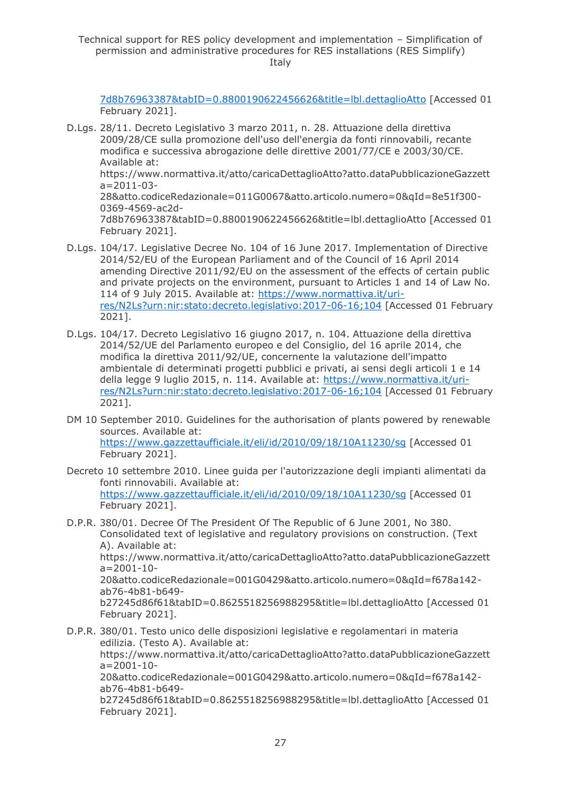[7d8b76963387&tabID=0.8800190622456626&title=lbl.dettaglioAtto](https://www.normattiva.it/atto/caricaDettaglioAtto?atto.dataPubblicazioneGazzetta=2011-03-28&atto.codiceRedazionale=011G0067&atto.articolo.numero=0&qId=8e51f300-0369-4569-ac2d-7d8b76963387&tabID=0.8800190622456626&title=lbl.dettaglioAtto) [Accessed 01 February 2021].

- D.Lgs. 28/11. Decreto Legislativo 3 marzo 2011, n. 28. Attuazione della direttiva 2009/28/CE sulla promozione dell'uso dell'energia da fonti rinnovabili, recante modifica e successiva abrogazione delle direttive 2001/77/CE e 2003/30/CE. Available at: https://www.normattiva.it/atto/caricaDettaglioAtto?atto.dataPubblicazioneGazzett a=2011-03- 28&atto.codiceRedazionale=011G0067&atto.articolo.numero=0&qId=8e51f300- 0369-4569-ac2d-7d8b76963387&tabID=0.8800190622456626&title=lbl.dettaglioAtto [Accessed 01 February 2021].
- D.Lgs. 104/17. Legislative Decree No. 104 of 16 June 2017. Implementation of Directive 2014/52/EU of the European Parliament and of the Council of 16 April 2014 amending Directive 2011/92/EU on the assessment of the effects of certain public and private projects on the environment, pursuant to Articles 1 and 14 of Law No. 114 of 9 July 2015. Available at: [https://www.normattiva.it/uri](https://www.normattiva.it/uri-res/N2Ls?urn:nir:stato:decreto.legislativo:2017-06-16;104)[res/N2Ls?urn:nir:stato:decreto.legislativo:2017-06-16;104](https://www.normattiva.it/uri-res/N2Ls?urn:nir:stato:decreto.legislativo:2017-06-16;104) [Accessed 01 February 2021].
- D.Lgs. 104/17. Decreto Legislativo 16 giugno 2017, n. 104. Attuazione della direttiva 2014/52/UE del Parlamento europeo e del Consiglio, del 16 aprile 2014, che modifica la direttiva 2011/92/UE, concernente la valutazione dell'impatto ambientale di determinati progetti pubblici e privati, ai sensi degli articoli 1 e 14 della legge 9 luglio 2015, n. 114. Available at: [https://www.normattiva.it/uri](https://www.normattiva.it/uri-res/N2Ls?urn:nir:stato:decreto.legislativo:2017-06-16;104)[res/N2Ls?urn:nir:stato:decreto.legislativo:2017-06-16;104](https://www.normattiva.it/uri-res/N2Ls?urn:nir:stato:decreto.legislativo:2017-06-16;104) [Accessed 01 February 2021].
- DM 10 September 2010. Guidelines for the authorisation of plants powered by renewable sources. Available at: <https://www.gazzettaufficiale.it/eli/id/2010/09/18/10A11230/sg> [Accessed 01 February 2021].
- Decreto 10 settembre 2010. Linee guida per l'autorizzazione degli impianti alimentati da fonti rinnovabili. Available at: <https://www.gazzettaufficiale.it/eli/id/2010/09/18/10A11230/sg> [Accessed 01 February 2021].
- D.P.R. 380/01. Decree Of The President Of The Republic of 6 June 2001, No 380. Consolidated text of legislative and regulatory provisions on construction. (Text A). Available at: https://www.normattiva.it/atto/caricaDettaglioAtto?atto.dataPubblicazioneGazzett a=2001-10- 20&atto.codiceRedazionale=001G0429&atto.articolo.numero=0&qId=f678a142 ab76-4b81-b649 b27245d86f61&tabID=0.8625518256988295&title=lbl.dettaglioAtto [Accessed 01 February 2021].
- D.P.R. 380/01. Testo unico delle disposizioni legislative e regolamentari in materia edilizia. (Testo A). Available at: https://www.normattiva.it/atto/caricaDettaglioAtto?atto.dataPubblicazioneGazzett a=2001-10- 20&atto.codiceRedazionale=001G0429&atto.articolo.numero=0&qId=f678a142 ab76-4b81-b649 b27245d86f61&tabID=0.8625518256988295&title=lbl.dettaglioAtto [Accessed 01 February 2021].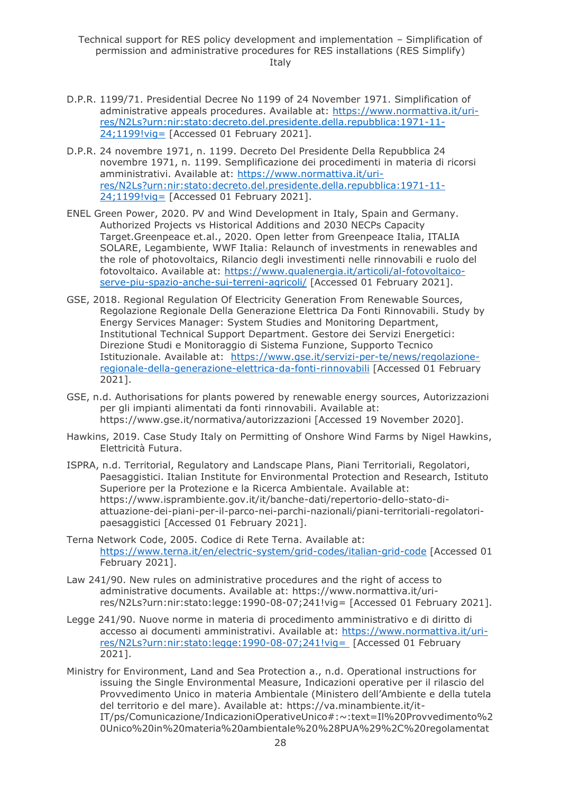- D.P.R. 1199/71. Presidential Decree No 1199 of 24 November 1971. Simplification of administrative appeals procedures. Available at: [https://www.normattiva.it/uri](https://www.normattiva.it/uri-res/N2Ls?urn:nir:stato:decreto.del.presidente.della.repubblica:1971-11-24;1199!vig=)[res/N2Ls?urn:nir:stato:decreto.del.presidente.della.repubblica:1971-11-](https://www.normattiva.it/uri-res/N2Ls?urn:nir:stato:decreto.del.presidente.della.repubblica:1971-11-24;1199!vig=) [24;1199!vig=](https://www.normattiva.it/uri-res/N2Ls?urn:nir:stato:decreto.del.presidente.della.repubblica:1971-11-24;1199!vig=) [Accessed 01 February 2021].
- D.P.R. 24 novembre 1971, n. 1199. Decreto Del Presidente Della Repubblica 24 novembre 1971, n. 1199. Semplificazione dei procedimenti in materia di ricorsi amministrativi. Available at: [https://www.normattiva.it/uri](https://www.normattiva.it/uri-res/N2Ls?urn:nir:stato:decreto.del.presidente.della.repubblica:1971-11-24;1199!vig=)[res/N2Ls?urn:nir:stato:decreto.del.presidente.della.repubblica:1971-11-](https://www.normattiva.it/uri-res/N2Ls?urn:nir:stato:decreto.del.presidente.della.repubblica:1971-11-24;1199!vig=) [24;1199!vig=](https://www.normattiva.it/uri-res/N2Ls?urn:nir:stato:decreto.del.presidente.della.repubblica:1971-11-24;1199!vig=) [Accessed 01 February 2021].
- ENEL Green Power, 2020. PV and Wind Development in Italy, Spain and Germany. Authorized Projects vs Historical Additions and 2030 NECPs Capacity Target.Greenpeace et.al., 2020. Open letter from Greenpeace Italia, ITALIA SOLARE, Legambiente, WWF Italia: Relaunch of investments in renewables and the role of photovoltaics, Rilancio degli investimenti nelle rinnovabili e ruolo del fotovoltaico. Available at: [https://www.qualenergia.it/articoli/al-fotovoltaico](https://www.qualenergia.it/articoli/al-fotovoltaico-serve-piu-spazio-anche-sui-terreni-agricoli/)[serve-piu-spazio-anche-sui-terreni-agricoli/](https://www.qualenergia.it/articoli/al-fotovoltaico-serve-piu-spazio-anche-sui-terreni-agricoli/) [Accessed 01 February 2021].
- GSE, 2018. Regional Regulation Of Electricity Generation From Renewable Sources, Regolazione Regionale Della Generazione Elettrica Da Fonti Rinnovabili. Study by Energy Services Manager: System Studies and Monitoring Department, Institutional Technical Support Department. Gestore dei Servizi Energetici: Direzione Studi e Monitoraggio di Sistema Funzione, Supporto Tecnico Istituzionale. Available at: [https://www.gse.it/servizi-per-te/news/regolazione](https://www.gse.it/servizi-per-te/news/regolazione-regionale-della-generazione-elettrica-da-fonti-rinnovabili)[regionale-della-generazione-elettrica-da-fonti-rinnovabili](https://www.gse.it/servizi-per-te/news/regolazione-regionale-della-generazione-elettrica-da-fonti-rinnovabili) [Accessed 01 February 2021].
- GSE, n.d. Authorisations for plants powered by renewable energy sources, Autorizzazioni per gli impianti alimentati da fonti rinnovabili. Available at: https://www.gse.it/normativa/autorizzazioni [Accessed 19 November 2020].
- Hawkins, 2019. Case Study Italy on Permitting of Onshore Wind Farms by Nigel Hawkins, Elettricità Futura.
- ISPRA, n.d. Territorial, Regulatory and Landscape Plans, Piani Territoriali, Regolatori, Paesaggistici. Italian Institute for Environmental Protection and Research, Istituto Superiore per la Protezione e la Ricerca Ambientale. Available at: https://www.isprambiente.gov.it/it/banche-dati/repertorio-dello-stato-diattuazione-dei-piani-per-il-parco-nei-parchi-nazionali/piani-territoriali-regolatoripaesaggistici [Accessed 01 February 2021].
- Terna Network Code, 2005. Codice di Rete Terna. Available at: <https://www.terna.it/en/electric-system/grid-codes/italian-grid-code> [Accessed 01 February 2021].
- Law 241/90. New rules on administrative procedures and the right of access to administrative documents. Available at: https://www.normattiva.it/urires/N2Ls?urn:nir:stato:legge:1990-08-07;241!vig= [Accessed 01 February 2021].
- Legge 241/90. Nuove norme in materia di procedimento amministrativo e di diritto di accesso ai documenti amministrativi. Available at: [https://www.normattiva.it/uri](https://www.normattiva.it/uri-res/N2Ls?urn:nir:stato:legge:1990-08-07;241!vig=%20)[res/N2Ls?urn:nir:stato:legge:1990-08-07;241!vig=](https://www.normattiva.it/uri-res/N2Ls?urn:nir:stato:legge:1990-08-07;241!vig=%20) [Accessed 01 February 2021].
- Ministry for Environment, Land and Sea Protection a., n.d. Operational instructions for issuing the Single Environmental Measure, Indicazioni operative per il rilascio del Provvedimento Unico in materia Ambientale (Ministero dell'Ambiente e della tutela del territorio e del mare). Available at: https://va.minambiente.it/it-IT/ps/Comunicazione/IndicazioniOperativeUnico#:~:text=Il%20Provvedimento%2 0Unico%20in%20materia%20ambientale%20%28PUA%29%2C%20regolamentat